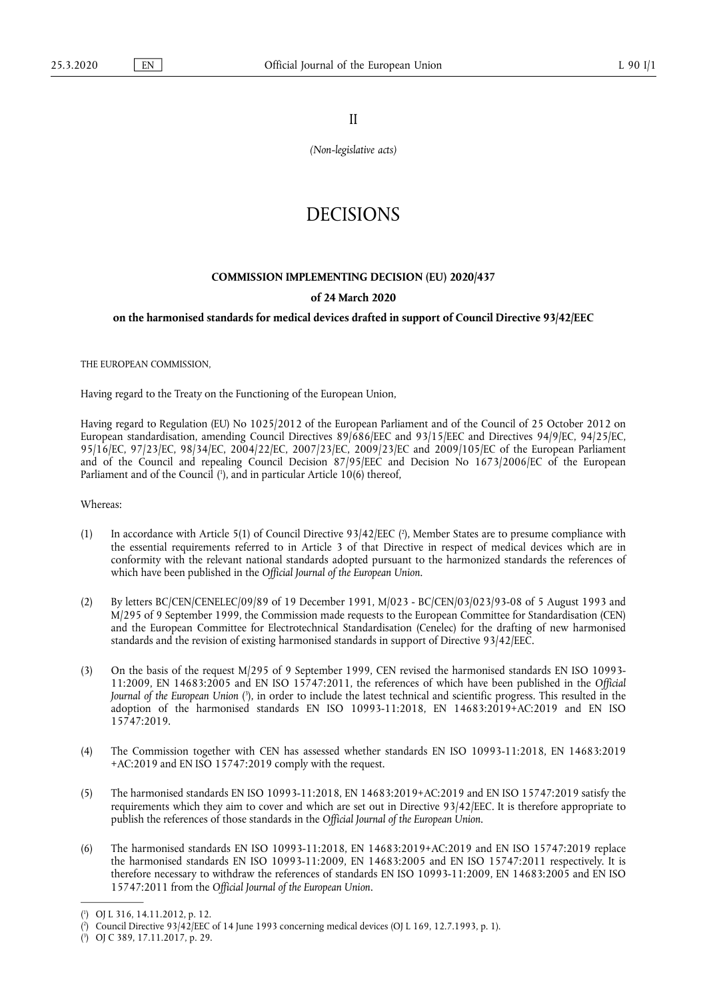II

*(Non-legislative acts)* 

# DECISIONS

## **COMMISSION IMPLEMENTING DECISION (EU) 2020/437**

## **of 24 March 2020**

## **on the harmonised standards for medical devices drafted in support of Council Directive 93/42/EEC**

THE EUROPEAN COMMISSION,

Having regard to the Treaty on the Functioning of the European Union,

Having regard to Regulation (EU) No 1025/2012 of the European Parliament and of the Council of 25 October 2012 on European standardisation, amending Council Directives 89/686/EEC and 93/15/EEC and Directives 94/9/EC, 94/25/EC, 95/16/EC, 97/23/EC, 98/34/EC, 2004/22/EC, 2007/23/EC, 2009/23/EC and 2009/105/EC of the European Parliament and of the Council and repealing Council Decision 87/95/EEC and Decision No 1673/2006/EC of the European Parliament and of the Council (<sup>1</sup>[\), and in particular Article 10\(6\) thereof,](#page-0-0)

<span id="page-0-3"></span>Whereas:

- <span id="page-0-4"></span>(1) In accordance with Article 5(1) of Council Directive 93/42/EEC ( $\degree$ [\), Member States are to presume compliance with](#page-0-1) the essential requirements referred to in Article 3 of that Directive in respect of medical devices which are in conformity with the relevant national standards adopted pursuant to the harmonized standards the references of which have been published in the *Official Journal of the European Union*.
- (2) By letters BC/CEN/CENELEC/09/89 of 19 December 1991, M/023 BC/CEN/03/023/93-08 of 5 August 1993 and M/295 of 9 September 1999, the Commission made requests to the European Committee for Standardisation (CEN) and the European Committee for Electrotechnical Standardisation (Cenelec) for the drafting of new harmonised standards and the revision of existing harmonised standards in support of Directive 93/42/EEC.
- <span id="page-0-5"></span>(3) On the basis of the request M/295 of 9 September 1999, CEN revised the harmonised standards EN ISO 10993- 11:2009, EN 14683:2005 and EN ISO 15747:2011, the references of which have been published in the *Official Journal of the European Union* ( 3 [\), in order to include the latest technical and scientific progress. This resulted in the](#page-0-2) adoption of the harmonised standards EN ISO 10993-11:2018, EN 14683:2019+AC:2019 and EN ISO 15747:2019.
- (4) The Commission together with CEN has assessed whether standards EN ISO 10993-11:2018, EN 14683:2019 +AC:2019 and EN ISO 15747:2019 comply with the request.
- (5) The harmonised standards EN ISO 10993-11:2018, EN 14683:2019+AC:2019 and EN ISO 15747:2019 satisfy the requirements which they aim to cover and which are set out in Directive 93/42/EEC. It is therefore appropriate to publish the references of those standards in the *Official Journal of the European Union*.
- (6) The harmonised standards EN ISO 10993-11:2018, EN 14683:2019+AC:2019 and EN ISO 15747:2019 replace the harmonised standards EN ISO 10993-11:2009, EN 14683:2005 and EN ISO 15747:2011 respectively. It is therefore necessary to withdraw the references of standards EN ISO 10993-11:2009, EN 14683:2005 and EN ISO 15747:2011 from the *Official Journal of the European Union*.

<span id="page-0-0"></span>[<sup>\(</sup>](#page-0-3) 1 ) OJ L 316, 14.11.2012, p. 12.

<span id="page-0-1"></span>[<sup>\(</sup>](#page-0-4) 2 ) Council Directive 93/42/EEC of 14 June 1993 concerning medical devices (OJ L 169, 12.7.1993, p. 1).

<span id="page-0-2"></span><sup>(</sup> 3 [\)](#page-0-5) OJ C 389, 17.11.2017, p. 29.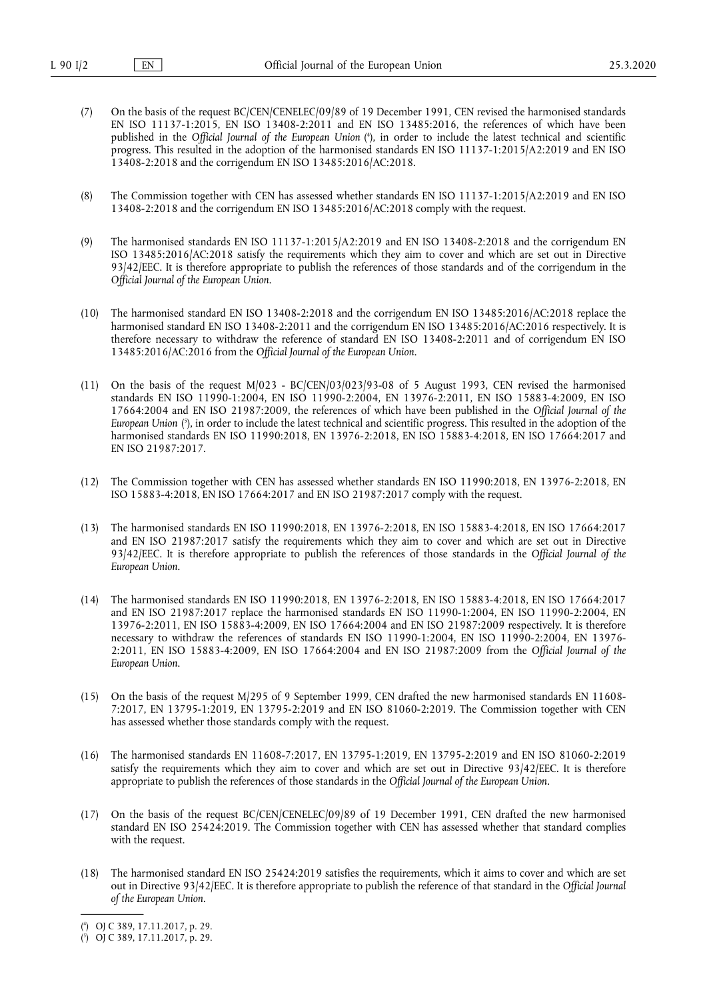- <span id="page-1-2"></span>(7) On the basis of the request BC/CEN/CENELEC/09/89 of 19 December 1991, CEN revised the harmonised standards EN ISO 11137-1:2015, EN ISO 13408-2:2011 and EN ISO 13485:2016, the references of which have been published in the *Official Journal of the European Union* ( 4 [\), in order to include the latest technical and scientific](#page-1-0) progress. This resulted in the adoption of the harmonised standards EN ISO 11137-1:2015/A2:2019 and EN ISO 13408-2:2018 and the corrigendum EN ISO 13485:2016/AC:2018.
- (8) The Commission together with CEN has assessed whether standards EN ISO 11137-1:2015/A2:2019 and EN ISO 13408-2:2018 and the corrigendum EN ISO 13485:2016/AC:2018 comply with the request.
- (9) The harmonised standards EN ISO 11137-1:2015/A2:2019 and EN ISO 13408-2:2018 and the corrigendum EN ISO 13485:2016/AC:2018 satisfy the requirements which they aim to cover and which are set out in Directive 93/42/EEC. It is therefore appropriate to publish the references of those standards and of the corrigendum in the *Official Journal of the European Union*.
- (10) The harmonised standard EN ISO 13408-2:2018 and the corrigendum EN ISO 13485:2016/AC:2018 replace the harmonised standard EN ISO 13408-2:2011 and the corrigendum EN ISO 13485:2016/AC:2016 respectively. It is therefore necessary to withdraw the reference of standard EN ISO 13408-2:2011 and of corrigendum EN ISO 13485:2016/AC:2016 from the *Official Journal of the European Union*.
- <span id="page-1-3"></span>(11) On the basis of the request M/023 - BC/CEN/03/023/93-08 of 5 August 1993, CEN revised the harmonised standards EN ISO 11990-1:2004, EN ISO 11990-2:2004, EN 13976-2:2011, EN ISO 15883-4:2009, EN ISO 17664:2004 and EN ISO 21987:2009, the references of which have been published in the *Official Journal of the European Union* ( 5 [\), in order to include the latest technical and scientific progress. This resulted in the adoption of the](#page-1-1) harmonised standards EN ISO 11990:2018, EN 13976-2:2018, EN ISO 15883-4:2018, EN ISO 17664:2017 and EN ISO 21987:2017.
- (12) The Commission together with CEN has assessed whether standards EN ISO 11990:2018, EN 13976-2:2018, EN ISO 15883-4:2018, EN ISO 17664:2017 and EN ISO 21987:2017 comply with the request.
- (13) The harmonised standards EN ISO 11990:2018, EN 13976-2:2018, EN ISO 15883-4:2018, EN ISO 17664:2017 and EN ISO 21987:2017 satisfy the requirements which they aim to cover and which are set out in Directive 93/42/EEC. It is therefore appropriate to publish the references of those standards in the *Official Journal of the European Union*.
- (14) The harmonised standards EN ISO 11990:2018, EN 13976-2:2018, EN ISO 15883-4:2018, EN ISO 17664:2017 and EN ISO 21987:2017 replace the harmonised standards EN ISO 11990-1:2004, EN ISO 11990-2:2004, EN 13976-2:2011, EN ISO 15883-4:2009, EN ISO 17664:2004 and EN ISO 21987:2009 respectively. It is therefore necessary to withdraw the references of standards EN ISO 11990-1:2004, EN ISO 11990-2:2004, EN 13976- 2:2011, EN ISO 15883-4:2009, EN ISO 17664:2004 and EN ISO 21987:2009 from the *Official Journal of the European Union*.
- (15) On the basis of the request M/295 of 9 September 1999, CEN drafted the new harmonised standards EN 11608- 7:2017, EN 13795-1:2019, EN 13795-2:2019 and EN ISO 81060-2:2019. The Commission together with CEN has assessed whether those standards comply with the request.
- (16) The harmonised standards EN 11608-7:2017, EN 13795-1:2019, EN 13795-2:2019 and EN ISO 81060-2:2019 satisfy the requirements which they aim to cover and which are set out in Directive 93/42/EEC. It is therefore appropriate to publish the references of those standards in the *Official Journal of the European Union*.
- (17) On the basis of the request BC/CEN/CENELEC/09/89 of 19 December 1991, CEN drafted the new harmonised standard EN ISO 25424:2019. The Commission together with CEN has assessed whether that standard complies with the request.
- (18) The harmonised standard EN ISO 25424:2019 satisfies the requirements, which it aims to cover and which are set out in Directive 93/42/EEC. It is therefore appropriate to publish the reference of that standard in the *Official Journal of the European Union*.

<span id="page-1-0"></span>[<sup>\(</sup>](#page-1-2) 4 ) OJ C 389, 17.11.2017, p. 29.

<span id="page-1-1"></span><sup>(</sup> 5 [\)](#page-1-3) OJ C 389, 17.11.2017, p. 29.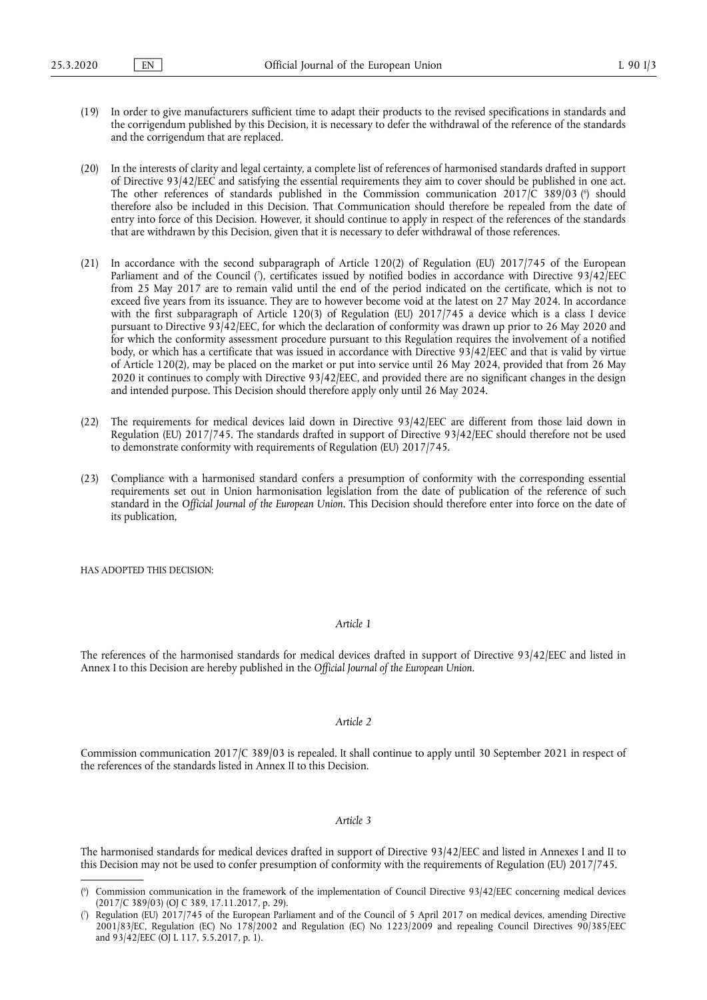- (19) In order to give manufacturers sufficient time to adapt their products to the revised specifications in standards and the corrigendum published by this Decision, it is necessary to defer the withdrawal of the reference of the standards and the corrigendum that are replaced.
- <span id="page-2-2"></span>(20) In the interests of clarity and legal certainty, a complete list of references of harmonised standards drafted in support of Directive 93/42/EEC and satisfying the essential requirements they aim to cover should be published in one act. The other references of standards published in the Commission communication 2017/C 389/03 (<sup>6</sup>[\) should](#page-2-0) therefore also be included in this Decision. That Communication should therefore be repealed from the date of entry into force of this Decision. However, it should continue to apply in respect of the references of the standards that are withdrawn by this Decision, given that it is necessary to defer withdrawal of those references.
- <span id="page-2-3"></span>(21) In accordance with the second subparagraph of Article 120(2) of Regulation (EU) 2017/745 of the European Parliament and of the Council ( 7 [\), certificates issued by notified bodies in accordance with Directive 93/42/EEC](#page-2-1) from 25 May 2017 are to remain valid until the end of the period indicated on the certificate, which is not to exceed five years from its issuance. They are to however become void at the latest on 27 May 2024. In accordance with the first subparagraph of Article 120(3) of Regulation (EU) 2017/745 a device which is a class I device pursuant to Directive 93/42/EEC, for which the declaration of conformity was drawn up prior to 26 May 2020 and for which the conformity assessment procedure pursuant to this Regulation requires the involvement of a notified body, or which has a certificate that was issued in accordance with Directive 93/42/EEC and that is valid by virtue of Article 120(2), may be placed on the market or put into service until 26 May 2024, provided that from 26 May 2020 it continues to comply with Directive 93/42/EEC, and provided there are no significant changes in the design and intended purpose. This Decision should therefore apply only until 26 May 2024.
- (22) The requirements for medical devices laid down in Directive 93/42/EEC are different from those laid down in Regulation (EU) 2017/745. The standards drafted in support of Directive 93/42/EEC should therefore not be used to demonstrate conformity with requirements of Regulation (EU) 2017/745.
- (23) Compliance with a harmonised standard confers a presumption of conformity with the corresponding essential requirements set out in Union harmonisation legislation from the date of publication of the reference of such standard in the *Official Journal of the European Union*. This Decision should therefore enter into force on the date of its publication,

HAS ADOPTED THIS DECISION:

#### *Article 1*

The references of the harmonised standards for medical devices drafted in support of Directive 93/42/EEC and listed in Annex I to this Decision are hereby published in the *Official Journal of the European Union*.

#### *Article 2*

Commission communication 2017/C 389/03 is repealed. It shall continue to apply until 30 September 2021 in respect of the references of the standards listed in Annex II to this Decision.

#### *Article 3*

The harmonised standards for medical devices drafted in support of Directive 93/42/EEC and listed in Annexes I and II to this Decision may not be used to confer presumption of conformity with the requirements of Regulation (EU) 2017/745.

<span id="page-2-0"></span>[<sup>\(</sup>](#page-2-2) 6 ) Commission communication in the framework of the implementation of Council Directive 93/42/EEC concerning medical devices (2017/C 389/03) (OJ C 389, 17.11.2017, p. 29).

<span id="page-2-1"></span>[<sup>\(</sup>](#page-2-3) 7 ) Regulation (EU) 2017/745 of the European Parliament and of the Council of 5 April 2017 on medical devices, amending Directive 2001/83/EC, Regulation (EC) No 178/2002 and Regulation (EC) No 1223/2009 and repealing Council Directives 90/385/EEC and 93/42/EEC (OJ L 117, 5.5.2017, p. 1).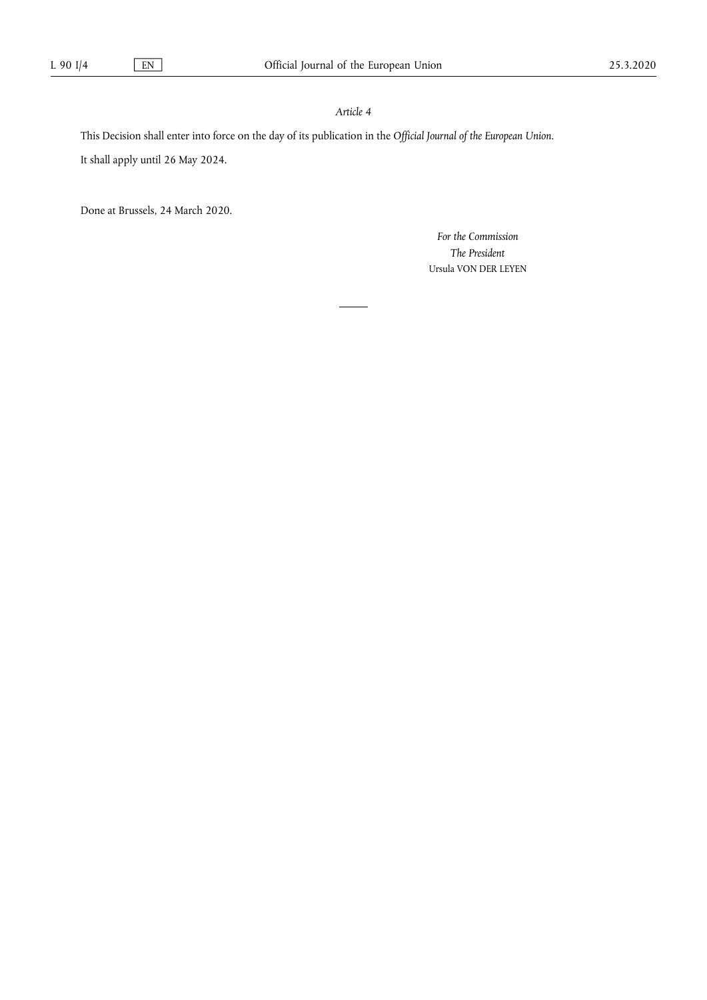# *Article 4*

This Decision shall enter into force on the day of its publication in the *Official Journal of the European Union*.

It shall apply until 26 May 2024.

Done at Brussels, 24 March 2020.

*For the Commission The President*  Ursula VON DER LEYEN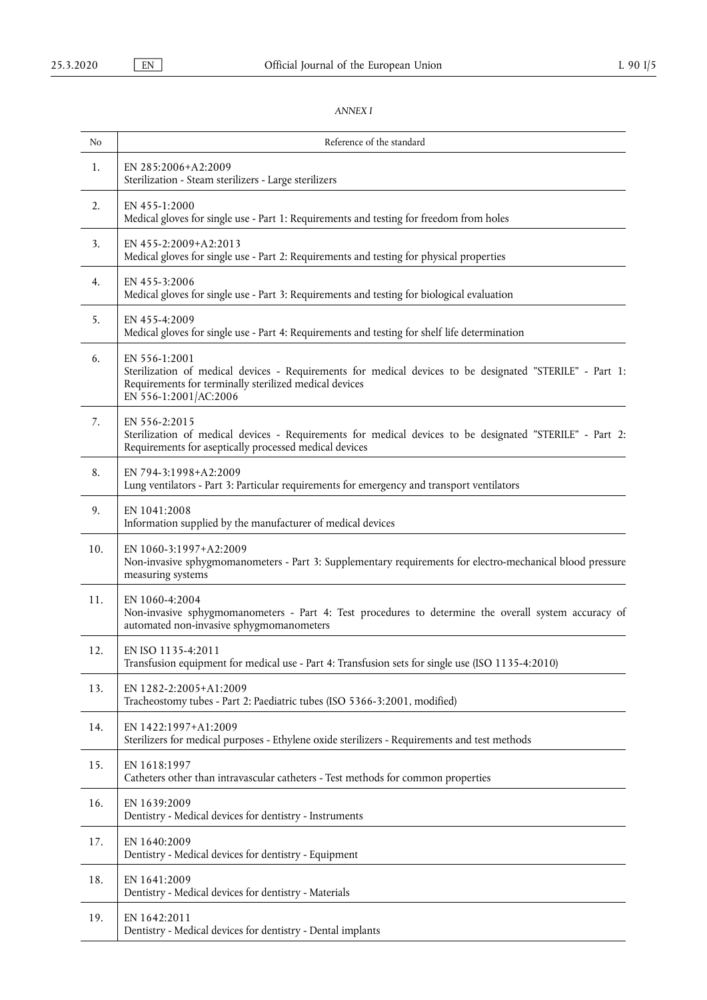# *ANNEX I*

| No  | Reference of the standard                                                                                                                                                                                    |
|-----|--------------------------------------------------------------------------------------------------------------------------------------------------------------------------------------------------------------|
| 1.  | EN 285:2006+A2:2009<br>Sterilization - Steam sterilizers - Large sterilizers                                                                                                                                 |
| 2.  | EN 455-1:2000<br>Medical gloves for single use - Part 1: Requirements and testing for freedom from holes                                                                                                     |
| 3.  | EN 455-2:2009+A2:2013<br>Medical gloves for single use - Part 2: Requirements and testing for physical properties                                                                                            |
| 4.  | EN 455-3:2006<br>Medical gloves for single use - Part 3: Requirements and testing for biological evaluation                                                                                                  |
| 5.  | EN 455-4:2009<br>Medical gloves for single use - Part 4: Requirements and testing for shelf life determination                                                                                               |
| 6.  | EN 556-1:2001<br>Sterilization of medical devices - Requirements for medical devices to be designated "STERILE" - Part 1:<br>Requirements for terminally sterilized medical devices<br>EN 556-1:2001/AC:2006 |
| 7.  | EN 556-2:2015<br>Sterilization of medical devices - Requirements for medical devices to be designated "STERILE" - Part 2:<br>Requirements for aseptically processed medical devices                          |
| 8.  | EN 794-3:1998+A2:2009<br>Lung ventilators - Part 3: Particular requirements for emergency and transport ventilators                                                                                          |
| 9.  | EN 1041:2008<br>Information supplied by the manufacturer of medical devices                                                                                                                                  |
| 10. | EN 1060-3:1997+A2:2009<br>Non-invasive sphygmomanometers - Part 3: Supplementary requirements for electro-mechanical blood pressure<br>measuring systems                                                     |
| 11. | EN 1060-4:2004<br>Non-invasive sphygmomanometers - Part 4: Test procedures to determine the overall system accuracy of<br>automated non-invasive sphygmomanometers                                           |
| 12. | EN ISO 1135-4:2011<br>Transfusion equipment for medical use - Part 4: Transfusion sets for single use (ISO 1135-4:2010)                                                                                      |
| 13. | EN 1282-2:2005+A1:2009<br>Tracheostomy tubes - Part 2: Paediatric tubes (ISO 5366-3:2001, modified)                                                                                                          |
| 14. | EN 1422:1997+A1:2009<br>Sterilizers for medical purposes - Ethylene oxide sterilizers - Requirements and test methods                                                                                        |
| 15. | EN 1618:1997<br>Catheters other than intravascular catheters - Test methods for common properties                                                                                                            |
| 16. | EN 1639:2009<br>Dentistry - Medical devices for dentistry - Instruments                                                                                                                                      |
| 17. | EN 1640:2009<br>Dentistry - Medical devices for dentistry - Equipment                                                                                                                                        |
| 18. | EN 1641:2009<br>Dentistry - Medical devices for dentistry - Materials                                                                                                                                        |
| 19. | EN 1642:2011<br>Dentistry - Medical devices for dentistry - Dental implants                                                                                                                                  |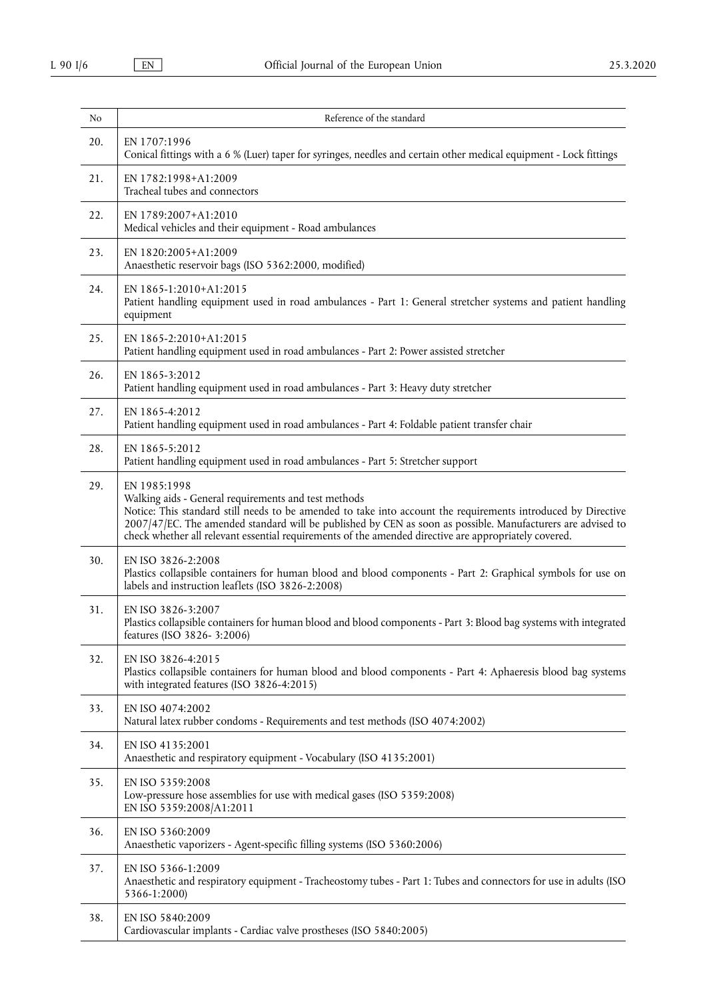| N <sub>o</sub> | Reference of the standard                                                                                                                                                                                                                                                                                                                                                                                     |
|----------------|---------------------------------------------------------------------------------------------------------------------------------------------------------------------------------------------------------------------------------------------------------------------------------------------------------------------------------------------------------------------------------------------------------------|
| 20.            | EN 1707:1996<br>Conical fittings with a 6 % (Luer) taper for syringes, needles and certain other medical equipment - Lock fittings                                                                                                                                                                                                                                                                            |
| 21.            | EN 1782:1998+A1:2009<br>Tracheal tubes and connectors                                                                                                                                                                                                                                                                                                                                                         |
| 22.            | EN 1789:2007+A1:2010<br>Medical vehicles and their equipment - Road ambulances                                                                                                                                                                                                                                                                                                                                |
| 23.            | EN 1820:2005+A1:2009<br>Anaesthetic reservoir bags (ISO 5362:2000, modified)                                                                                                                                                                                                                                                                                                                                  |
| 24.            | EN 1865-1:2010+A1:2015<br>Patient handling equipment used in road ambulances - Part 1: General stretcher systems and patient handling<br>equipment                                                                                                                                                                                                                                                            |
| 25.            | EN 1865-2:2010+A1:2015<br>Patient handling equipment used in road ambulances - Part 2: Power assisted stretcher                                                                                                                                                                                                                                                                                               |
| 26.            | EN 1865-3:2012<br>Patient handling equipment used in road ambulances - Part 3: Heavy duty stretcher                                                                                                                                                                                                                                                                                                           |
| 27.            | EN 1865-4:2012<br>Patient handling equipment used in road ambulances - Part 4: Foldable patient transfer chair                                                                                                                                                                                                                                                                                                |
| 28.            | EN 1865-5:2012<br>Patient handling equipment used in road ambulances - Part 5: Stretcher support                                                                                                                                                                                                                                                                                                              |
| 29.            | EN 1985:1998<br>Walking aids - General requirements and test methods<br>Notice: This standard still needs to be amended to take into account the requirements introduced by Directive<br>2007/47/EC. The amended standard will be published by CEN as soon as possible. Manufacturers are advised to<br>check whether all relevant essential requirements of the amended directive are appropriately covered. |
| 30.            | EN ISO 3826-2:2008<br>Plastics collapsible containers for human blood and blood components - Part 2: Graphical symbols for use on<br>labels and instruction leaflets (ISO 3826-2:2008)                                                                                                                                                                                                                        |
| 31.            | EN ISO 3826-3:2007<br>Plastics collapsible containers for human blood and blood components - Part 3: Blood bag systems with integrated<br>features (ISO 3826-3:2006)                                                                                                                                                                                                                                          |
| 32.            | EN ISO 3826-4:2015<br>Plastics collapsible containers for human blood and blood components - Part 4: Aphaeresis blood bag systems<br>with integrated features (ISO 3826-4:2015)                                                                                                                                                                                                                               |
| 33.            | EN ISO 4074:2002<br>Natural latex rubber condoms - Requirements and test methods (ISO 4074:2002)                                                                                                                                                                                                                                                                                                              |
| 34.            | EN ISO 4135:2001<br>Anaesthetic and respiratory equipment - Vocabulary (ISO 4135:2001)                                                                                                                                                                                                                                                                                                                        |
| 35.            | EN ISO 5359:2008<br>Low-pressure hose assemblies for use with medical gases (ISO 5359:2008)<br>EN ISO 5359:2008/A1:2011                                                                                                                                                                                                                                                                                       |
| 36.            | EN ISO 5360:2009<br>Anaesthetic vaporizers - Agent-specific filling systems (ISO 5360:2006)                                                                                                                                                                                                                                                                                                                   |
| 37.            | EN ISO 5366-1:2009<br>Anaesthetic and respiratory equipment - Tracheostomy tubes - Part 1: Tubes and connectors for use in adults (ISO<br>5366-1:2000)                                                                                                                                                                                                                                                        |
| 38.            | EN ISO 5840:2009<br>Cardiovascular implants - Cardiac valve prostheses (ISO 5840:2005)                                                                                                                                                                                                                                                                                                                        |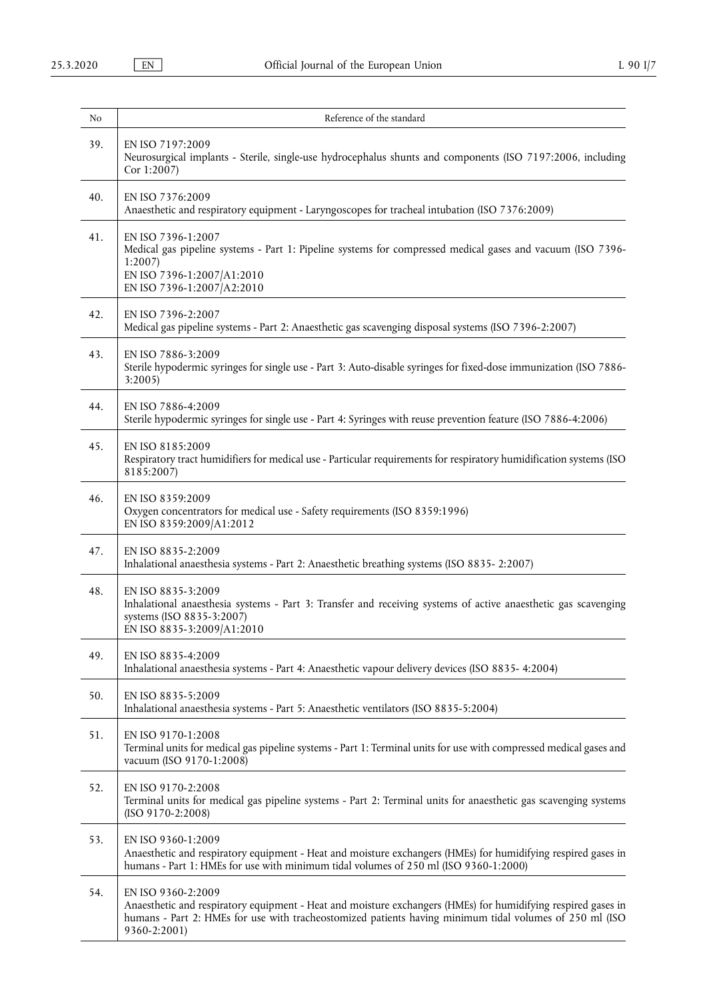| No  | Reference of the standard                                                                                                                                                                                                                                      |
|-----|----------------------------------------------------------------------------------------------------------------------------------------------------------------------------------------------------------------------------------------------------------------|
| 39. | EN ISO 7197:2009<br>Neurosurgical implants - Sterile, single-use hydrocephalus shunts and components (ISO 7197:2006, including<br>Cor 1:2007)                                                                                                                  |
| 40. | EN ISO 7376:2009<br>Anaesthetic and respiratory equipment - Laryngoscopes for tracheal intubation (ISO 7376:2009)                                                                                                                                              |
| 41. | EN ISO 7396-1:2007<br>Medical gas pipeline systems - Part 1: Pipeline systems for compressed medical gases and vacuum (ISO 7396-<br>1:2007<br>EN ISO 7396-1:2007/A1:2010<br>EN ISO 7396-1:2007 A2:2010                                                         |
| 42. | EN ISO 7396-2:2007<br>Medical gas pipeline systems - Part 2: Anaesthetic gas scavenging disposal systems (ISO 7396-2:2007)                                                                                                                                     |
| 43. | EN ISO 7886-3:2009<br>Sterile hypodermic syringes for single use - Part 3: Auto-disable syringes for fixed-dose immunization (ISO 7886-<br>3:2005                                                                                                              |
| 44. | EN ISO 7886-4:2009<br>Sterile hypodermic syringes for single use - Part 4: Syringes with reuse prevention feature (ISO 7886-4:2006)                                                                                                                            |
| 45. | EN ISO 8185:2009<br>Respiratory tract humidifiers for medical use - Particular requirements for respiratory humidification systems (ISO<br>8185:2007)                                                                                                          |
| 46. | EN ISO 8359:2009<br>Oxygen concentrators for medical use - Safety requirements (ISO 8359:1996)<br>EN ISO 8359:2009/A1:2012                                                                                                                                     |
| 47. | EN ISO 8835-2:2009<br>Inhalational anaesthesia systems - Part 2: Anaesthetic breathing systems (ISO 8835-2:2007)                                                                                                                                               |
| 48. | EN ISO 8835-3:2009<br>Inhalational anaesthesia systems - Part 3: Transfer and receiving systems of active anaesthetic gas scavenging<br>systems (ISO 8835-3:2007)<br>EN ISO 8835-3:2009/A1:2010                                                                |
| 49. | EN ISO 8835-4:2009<br>Inhalational anaesthesia systems - Part 4: Anaesthetic vapour delivery devices (ISO 8835- 4:2004)                                                                                                                                        |
| 50. | EN ISO 8835-5:2009<br>Inhalational anaesthesia systems - Part 5: Anaesthetic ventilators (ISO 8835-5:2004)                                                                                                                                                     |
| 51. | EN ISO 9170-1:2008<br>Terminal units for medical gas pipeline systems - Part 1: Terminal units for use with compressed medical gases and<br>vacuum (ISO 9170-1:2008)                                                                                           |
| 52. | EN ISO 9170-2:2008<br>Terminal units for medical gas pipeline systems - Part 2: Terminal units for anaesthetic gas scavenging systems<br>$(ISO 9170-2:2008)$                                                                                                   |
| 53. | EN ISO 9360-1:2009<br>Anaesthetic and respiratory equipment - Heat and moisture exchangers (HMEs) for humidifying respired gases in<br>humans - Part 1: HMEs for use with minimum tidal volumes of 250 ml (ISO 9360-1:2000)                                    |
| 54. | EN ISO 9360-2:2009<br>Anaesthetic and respiratory equipment - Heat and moisture exchangers (HMEs) for humidifying respired gases in<br>humans - Part 2: HMEs for use with tracheostomized patients having minimum tidal volumes of 250 ml (ISO<br>9360-2:2001) |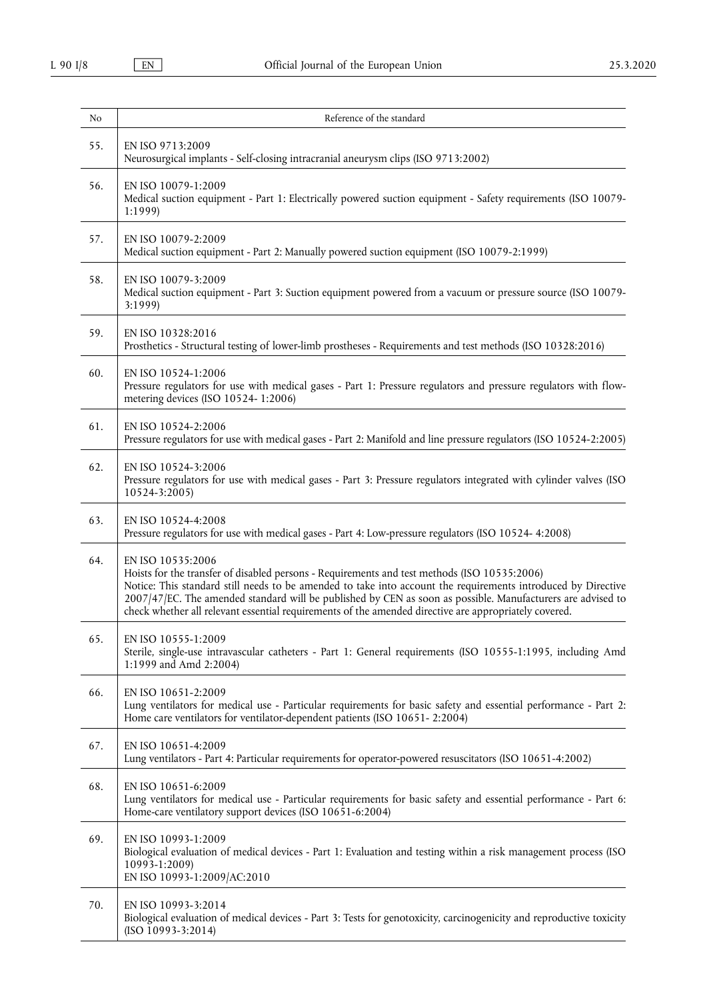$\overline{\phantom{a}}$ 

| No  | Reference of the standard                                                                                                                                                                                                                                                                                                                                                                                                                                  |
|-----|------------------------------------------------------------------------------------------------------------------------------------------------------------------------------------------------------------------------------------------------------------------------------------------------------------------------------------------------------------------------------------------------------------------------------------------------------------|
| 55. | EN ISO 9713:2009<br>Neurosurgical implants - Self-closing intracranial aneurysm clips (ISO 9713:2002)                                                                                                                                                                                                                                                                                                                                                      |
| 56. | EN ISO 10079-1:2009<br>Medical suction equipment - Part 1: Electrically powered suction equipment - Safety requirements (ISO 10079-<br>1:1999)                                                                                                                                                                                                                                                                                                             |
| 57. | EN ISO 10079-2:2009<br>Medical suction equipment - Part 2: Manually powered suction equipment (ISO 10079-2:1999)                                                                                                                                                                                                                                                                                                                                           |
| 58. | EN ISO 10079-3:2009<br>Medical suction equipment - Part 3: Suction equipment powered from a vacuum or pressure source (ISO 10079-<br>3:1999)                                                                                                                                                                                                                                                                                                               |
| 59. | EN ISO 10328:2016<br>Prosthetics - Structural testing of lower-limb prostheses - Requirements and test methods (ISO 10328:2016)                                                                                                                                                                                                                                                                                                                            |
| 60. | EN ISO 10524-1:2006<br>Pressure regulators for use with medical gases - Part 1: Pressure regulators and pressure regulators with flow-<br>metering devices (ISO 10524-1:2006)                                                                                                                                                                                                                                                                              |
| 61. | EN ISO 10524-2:2006<br>Pressure regulators for use with medical gases - Part 2: Manifold and line pressure regulators (ISO 10524-2:2005)                                                                                                                                                                                                                                                                                                                   |
| 62. | EN ISO 10524-3:2006<br>Pressure regulators for use with medical gases - Part 3: Pressure regulators integrated with cylinder valves (ISO<br>10524-3:2005)                                                                                                                                                                                                                                                                                                  |
| 63. | EN ISO 10524-4:2008<br>Pressure regulators for use with medical gases - Part 4: Low-pressure regulators (ISO 10524- 4:2008)                                                                                                                                                                                                                                                                                                                                |
| 64. | EN ISO 10535:2006<br>Hoists for the transfer of disabled persons - Requirements and test methods (ISO 10535:2006)<br>Notice: This standard still needs to be amended to take into account the requirements introduced by Directive<br>2007/47/EC. The amended standard will be published by CEN as soon as possible. Manufacturers are advised to<br>check whether all relevant essential requirements of the amended directive are appropriately covered. |
| 65. | EN ISO 10555-1:2009<br>Sterile, single-use intravascular catheters - Part 1: General requirements (ISO 10555-1:1995, including Amd<br>1:1999 and Amd 2:2004)                                                                                                                                                                                                                                                                                               |
| 66. | EN ISO 10651-2:2009<br>Lung ventilators for medical use - Particular requirements for basic safety and essential performance - Part 2:<br>Home care ventilators for ventilator-dependent patients (ISO 10651-2:2004)                                                                                                                                                                                                                                       |
| 67. | EN ISO 10651-4:2009<br>Lung ventilators - Part 4: Particular requirements for operator-powered resuscitators (ISO 10651-4:2002)                                                                                                                                                                                                                                                                                                                            |
| 68. | EN ISO 10651-6:2009<br>Lung ventilators for medical use - Particular requirements for basic safety and essential performance - Part 6:<br>Home-care ventilatory support devices (ISO 10651-6:2004)                                                                                                                                                                                                                                                         |
| 69. | EN ISO 10993-1:2009<br>Biological evaluation of medical devices - Part 1: Evaluation and testing within a risk management process (ISO<br>10993-1:2009)<br>EN ISO 10993-1:2009/AC:2010                                                                                                                                                                                                                                                                     |
| 70. | EN ISO 10993-3:2014<br>Biological evaluation of medical devices - Part 3: Tests for genotoxicity, carcinogenicity and reproductive toxicity<br>$(ISO 10993-3:2014)$                                                                                                                                                                                                                                                                                        |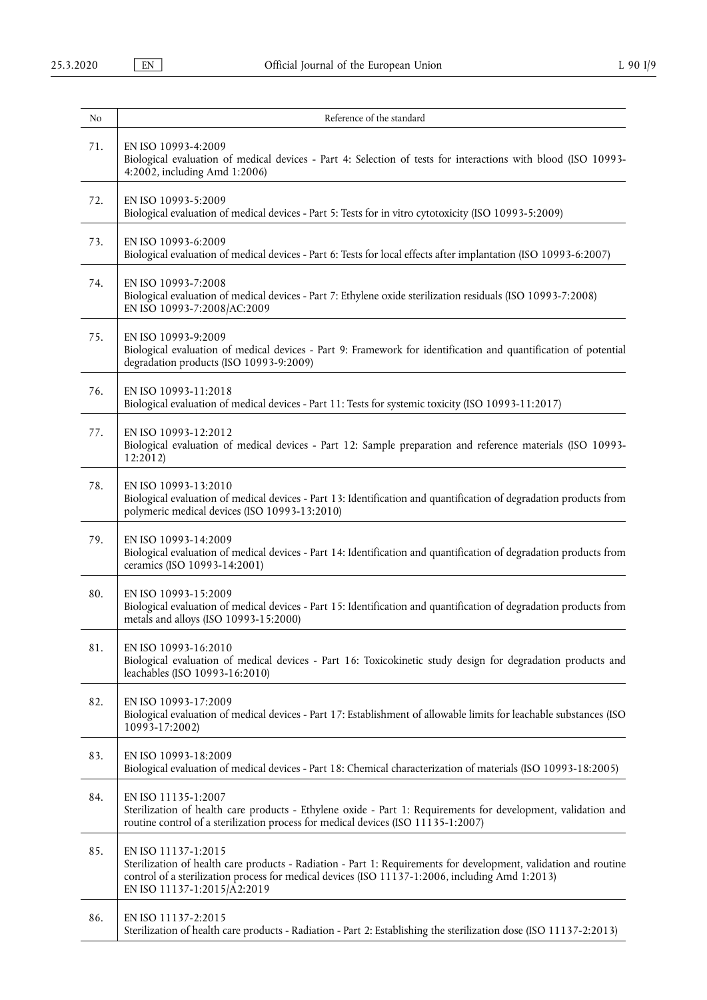| N <sub>o</sub> | Reference of the standard                                                                                                                                                                                                                                                 |
|----------------|---------------------------------------------------------------------------------------------------------------------------------------------------------------------------------------------------------------------------------------------------------------------------|
| 71.            | EN ISO 10993-4:2009<br>Biological evaluation of medical devices - Part 4: Selection of tests for interactions with blood (ISO 10993-<br>$4:2002$ , including Amd 1:2006)                                                                                                  |
| 72.            | EN ISO 10993-5:2009<br>Biological evaluation of medical devices - Part 5: Tests for in vitro cytotoxicity (ISO 10993-5:2009)                                                                                                                                              |
| 73.            | EN ISO 10993-6:2009<br>Biological evaluation of medical devices - Part 6: Tests for local effects after implantation (ISO 10993-6:2007)                                                                                                                                   |
| 74.            | EN ISO 10993-7:2008<br>Biological evaluation of medical devices - Part 7: Ethylene oxide sterilization residuals (ISO 10993-7:2008)<br>EN ISO 10993-7:2008/AC:2009                                                                                                        |
| 75.            | EN ISO 10993-9:2009<br>Biological evaluation of medical devices - Part 9: Framework for identification and quantification of potential<br>degradation products (ISO 10993-9:2009)                                                                                         |
| 76.            | EN ISO 10993-11:2018<br>Biological evaluation of medical devices - Part 11: Tests for systemic toxicity (ISO 10993-11:2017)                                                                                                                                               |
| 77.            | EN ISO 10993-12:2012<br>Biological evaluation of medical devices - Part 12: Sample preparation and reference materials (ISO 10993-<br>12:2012)                                                                                                                            |
| 78.            | EN ISO 10993-13:2010<br>Biological evaluation of medical devices - Part 13: Identification and quantification of degradation products from<br>polymeric medical devices (ISO 10993-13:2010)                                                                               |
| 79.            | EN ISO 10993-14:2009<br>Biological evaluation of medical devices - Part 14: Identification and quantification of degradation products from<br>ceramics (ISO 10993-14:2001)                                                                                                |
| 80.            | EN ISO 10993-15:2009<br>Biological evaluation of medical devices - Part 15: Identification and quantification of degradation products from<br>metals and alloys (ISO 10993-15:2000)                                                                                       |
| 81.            | EN ISO 10993-16:2010<br>Biological evaluation of medical devices - Part 16: Toxicokinetic study design for degradation products and<br>leachables (ISO 10993-16:2010)                                                                                                     |
| 82.            | EN ISO 10993-17:2009<br>Biological evaluation of medical devices - Part 17: Establishment of allowable limits for leachable substances (ISO<br>10993-17:2002)                                                                                                             |
| 83.            | EN ISO 10993-18:2009<br>Biological evaluation of medical devices - Part 18: Chemical characterization of materials (ISO 10993-18:2005)                                                                                                                                    |
| 84.            | EN ISO 11135-1:2007<br>Sterilization of health care products - Ethylene oxide - Part 1: Requirements for development, validation and<br>routine control of a sterilization process for medical devices (ISO 11135-1:2007)                                                 |
| 85.            | EN ISO 11137-1:2015<br>Sterilization of health care products - Radiation - Part 1: Requirements for development, validation and routine<br>control of a sterilization process for medical devices (ISO 11137-1:2006, including Amd 1:2013)<br>EN ISO 11137-1:2015/A2:2019 |
| 86.            | EN ISO 11137-2:2015<br>Sterilization of health care products - Radiation - Part 2: Establishing the sterilization dose (ISO 11137-2:2013)                                                                                                                                 |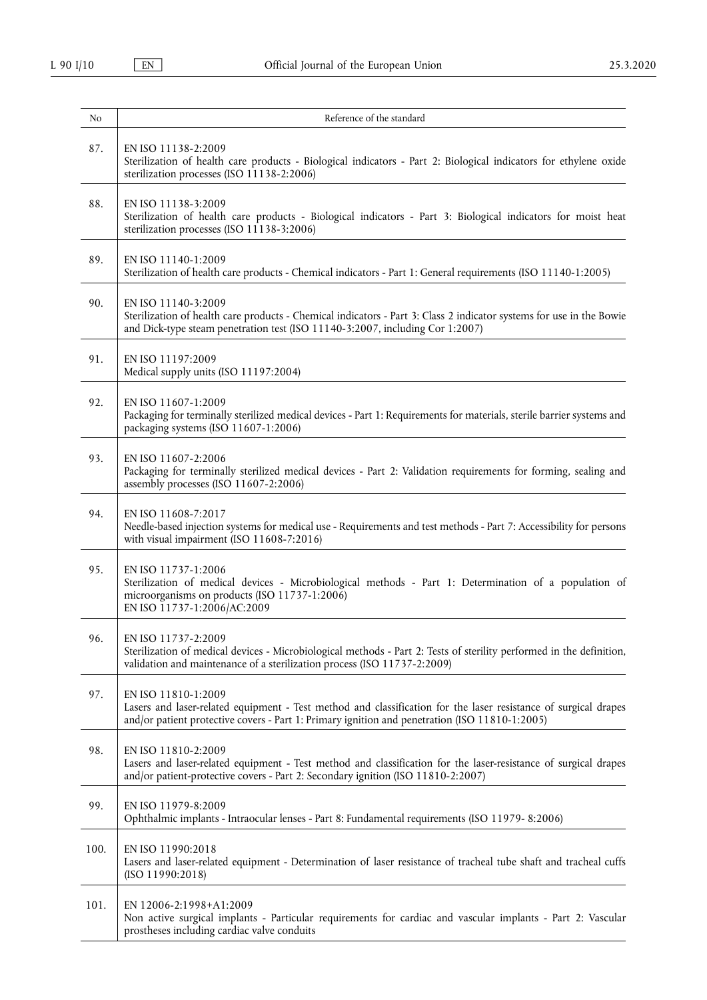| No   | Reference of the standard                                                                                                                                                                                                                |
|------|------------------------------------------------------------------------------------------------------------------------------------------------------------------------------------------------------------------------------------------|
| 87.  | EN ISO 11138-2:2009<br>Sterilization of health care products - Biological indicators - Part 2: Biological indicators for ethylene oxide<br>sterilization processes (ISO 11138-2:2006)                                                    |
| 88.  | EN ISO 11138-3:2009<br>Sterilization of health care products - Biological indicators - Part 3: Biological indicators for moist heat<br>sterilization processes (ISO 11138-3:2006)                                                        |
| 89.  | EN ISO 11140-1:2009<br>Sterilization of health care products - Chemical indicators - Part 1: General requirements (ISO 11140-1:2005)                                                                                                     |
| 90.  | EN ISO 11140-3:2009<br>Sterilization of health care products - Chemical indicators - Part 3: Class 2 indicator systems for use in the Bowie<br>and Dick-type steam penetration test (ISO 11140-3:2007, including Cor 1:2007)             |
| 91.  | EN ISO 11197:2009<br>Medical supply units (ISO 11197:2004)                                                                                                                                                                               |
| 92.  | EN ISO 11607-1:2009<br>Packaging for terminally sterilized medical devices - Part 1: Requirements for materials, sterile barrier systems and<br>packaging systems (ISO 11607-1:2006)                                                     |
| 93.  | EN ISO 11607-2:2006<br>Packaging for terminally sterilized medical devices - Part 2: Validation requirements for forming, sealing and<br>assembly processes (ISO 11607-2:2006)                                                           |
| 94.  | EN ISO 11608-7:2017<br>Needle-based injection systems for medical use - Requirements and test methods - Part 7: Accessibility for persons<br>with visual impairment (ISO 11608-7:2016)                                                   |
| 95.  | EN ISO 11737-1:2006<br>Sterilization of medical devices - Microbiological methods - Part 1: Determination of a population of<br>microorganisms on products (ISO 11737-1:2006)<br>EN ISO 11737-1:2006/AC:2009                             |
| 96.  | EN ISO 11737-2:2009<br>Sterilization of medical devices - Microbiological methods - Part 2: Tests of sterility performed in the definition,<br>validation and maintenance of a sterilization process (ISO 11737-2:2009)                  |
| 97.  | EN ISO 11810-1:2009<br>Lasers and laser-related equipment - Test method and classification for the laser resistance of surgical drapes<br>and/or patient protective covers - Part 1: Primary ignition and penetration (ISO 11810-1:2005) |
| 98.  | EN ISO 11810-2:2009<br>Lasers and laser-related equipment - Test method and classification for the laser-resistance of surgical drapes<br>and/or patient-protective covers - Part 2: Secondary ignition (ISO 11810-2:2007)               |
| 99.  | EN ISO 11979-8:2009<br>Ophthalmic implants - Intraocular lenses - Part 8: Fundamental requirements (ISO 11979-8:2006)                                                                                                                    |
| 100. | EN ISO 11990:2018<br>Lasers and laser-related equipment - Determination of laser resistance of tracheal tube shaft and tracheal cuffs<br>(ISO 11990:2018)                                                                                |
| 101. | EN 12006-2:1998+A1:2009<br>Non active surgical implants - Particular requirements for cardiac and vascular implants - Part 2: Vascular<br>prostheses including cardiac valve conduits                                                    |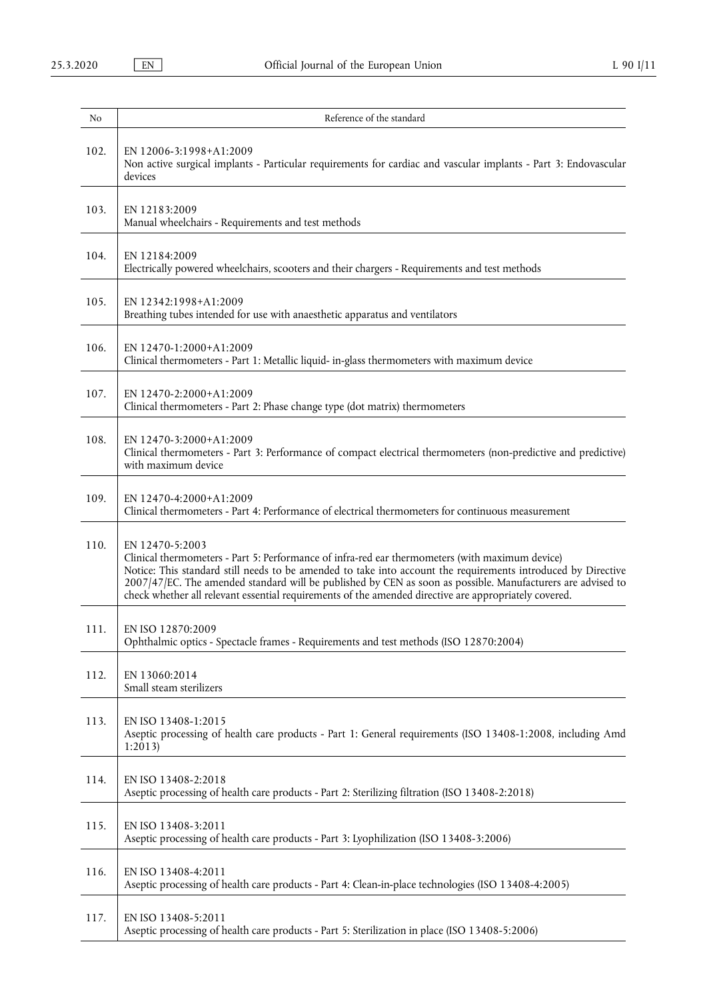| No   | Reference of the standard                                                                                                                                                                                                                                                                                                                                                                                                                                   |
|------|-------------------------------------------------------------------------------------------------------------------------------------------------------------------------------------------------------------------------------------------------------------------------------------------------------------------------------------------------------------------------------------------------------------------------------------------------------------|
| 102. | EN 12006-3:1998+A1:2009<br>Non active surgical implants - Particular requirements for cardiac and vascular implants - Part 3: Endovascular<br>devices                                                                                                                                                                                                                                                                                                       |
| 103. | EN 12183:2009<br>Manual wheelchairs - Requirements and test methods                                                                                                                                                                                                                                                                                                                                                                                         |
| 104. | EN 12184:2009<br>Electrically powered wheelchairs, scooters and their chargers - Requirements and test methods                                                                                                                                                                                                                                                                                                                                              |
| 105. | EN 12342:1998+A1:2009<br>Breathing tubes intended for use with anaesthetic apparatus and ventilators                                                                                                                                                                                                                                                                                                                                                        |
| 106. | EN 12470-1:2000+A1:2009<br>Clinical thermometers - Part 1: Metallic liquid- in-glass thermometers with maximum device                                                                                                                                                                                                                                                                                                                                       |
| 107. | EN 12470-2:2000+A1:2009<br>Clinical thermometers - Part 2: Phase change type (dot matrix) thermometers                                                                                                                                                                                                                                                                                                                                                      |
| 108. | EN 12470-3:2000+A1:2009<br>Clinical thermometers - Part 3: Performance of compact electrical thermometers (non-predictive and predictive)<br>with maximum device                                                                                                                                                                                                                                                                                            |
| 109. | EN 12470-4:2000+A1:2009<br>Clinical thermometers - Part 4: Performance of electrical thermometers for continuous measurement                                                                                                                                                                                                                                                                                                                                |
| 110. | EN 12470-5:2003<br>Clinical thermometers - Part 5: Performance of infra-red ear thermometers (with maximum device)<br>Notice: This standard still needs to be amended to take into account the requirements introduced by Directive<br>2007/47/EC. The amended standard will be published by CEN as soon as possible. Manufacturers are advised to<br>check whether all relevant essential requirements of the amended directive are appropriately covered. |
| 111. | EN ISO 12870:2009<br>Ophthalmic optics - Spectacle frames - Requirements and test methods (ISO 12870:2004)                                                                                                                                                                                                                                                                                                                                                  |
| 112. | EN 13060:2014<br>Small steam sterilizers                                                                                                                                                                                                                                                                                                                                                                                                                    |
| 113. | EN ISO 13408-1:2015<br>Aseptic processing of health care products - Part 1: General requirements (ISO 13408-1:2008, including Amd<br>1:2013                                                                                                                                                                                                                                                                                                                 |
| 114. | EN ISO 13408-2:2018<br>Aseptic processing of health care products - Part 2: Sterilizing filtration (ISO 13408-2:2018)                                                                                                                                                                                                                                                                                                                                       |
| 115. | EN ISO 13408-3:2011<br>Aseptic processing of health care products - Part 3: Lyophilization (ISO 13408-3:2006)                                                                                                                                                                                                                                                                                                                                               |
| 116. | EN ISO 13408-4:2011<br>Aseptic processing of health care products - Part 4: Clean-in-place technologies (ISO 13408-4:2005)                                                                                                                                                                                                                                                                                                                                  |
| 117. | EN ISO 13408-5:2011<br>Aseptic processing of health care products - Part 5: Sterilization in place (ISO 13408-5:2006)                                                                                                                                                                                                                                                                                                                                       |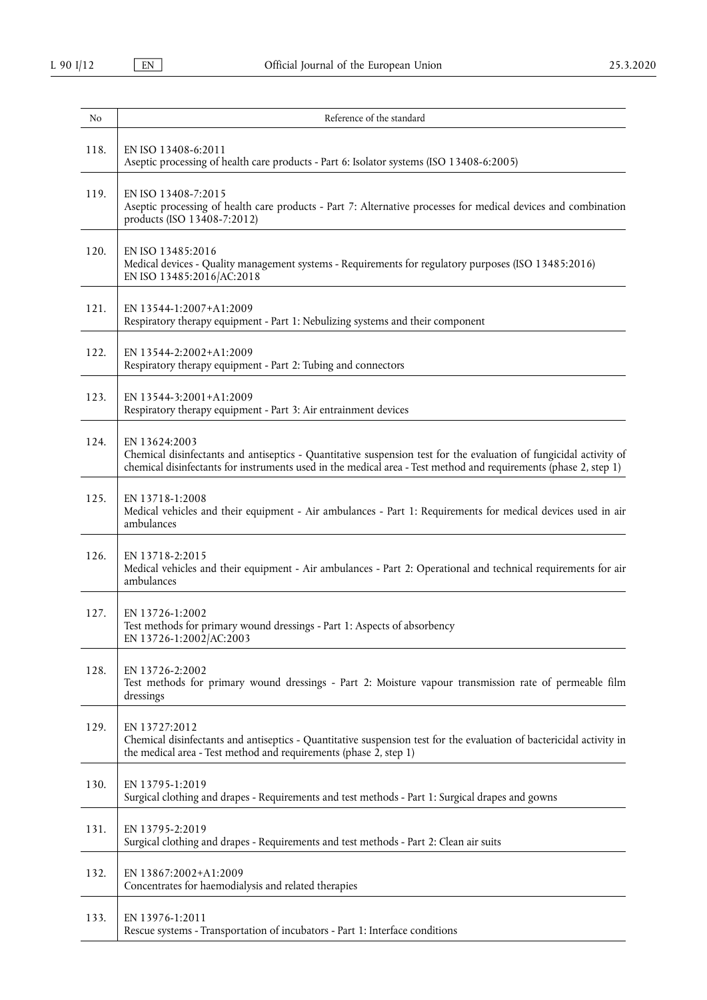| No   | Reference of the standard                                                                                                                                                                                                                               |
|------|---------------------------------------------------------------------------------------------------------------------------------------------------------------------------------------------------------------------------------------------------------|
| 118. | EN ISO 13408-6:2011<br>Aseptic processing of health care products - Part 6: Isolator systems (ISO 13408-6:2005)                                                                                                                                         |
| 119. | EN ISO 13408-7:2015<br>Aseptic processing of health care products - Part 7: Alternative processes for medical devices and combination<br>products (ISO 13408-7:2012)                                                                                    |
| 120. | EN ISO 13485:2016<br>Medical devices - Quality management systems - Requirements for regulatory purposes (ISO 13485:2016)<br>EN ISO 13485:2016/AC:2018                                                                                                  |
| 121. | EN 13544-1:2007+A1:2009<br>Respiratory therapy equipment - Part 1: Nebulizing systems and their component                                                                                                                                               |
| 122. | EN 13544-2:2002+A1:2009<br>Respiratory therapy equipment - Part 2: Tubing and connectors                                                                                                                                                                |
| 123. | EN 13544-3:2001+A1:2009<br>Respiratory therapy equipment - Part 3: Air entrainment devices                                                                                                                                                              |
| 124. | EN 13624:2003<br>Chemical disinfectants and antiseptics - Quantitative suspension test for the evaluation of fungicidal activity of<br>chemical disinfectants for instruments used in the medical area - Test method and requirements (phase 2, step 1) |
| 125. | EN 13718-1:2008<br>Medical vehicles and their equipment - Air ambulances - Part 1: Requirements for medical devices used in air<br>ambulances                                                                                                           |
| 126. | EN 13718-2:2015<br>Medical vehicles and their equipment - Air ambulances - Part 2: Operational and technical requirements for air<br>ambulances                                                                                                         |
| 127. | EN 13726-1:2002<br>Test methods for primary wound dressings - Part 1: Aspects of absorbency<br>EN 13726-1:2002/AC:2003                                                                                                                                  |
| 128. | EN 13726-2:2002<br>Test methods for primary wound dressings - Part 2: Moisture vapour transmission rate of permeable film<br>dressings                                                                                                                  |
| 129. | EN 13727:2012<br>Chemical disinfectants and antiseptics - Quantitative suspension test for the evaluation of bactericidal activity in<br>the medical area - Test method and requirements (phase 2, step 1)                                              |
| 130. | EN 13795-1:2019<br>Surgical clothing and drapes - Requirements and test methods - Part 1: Surgical drapes and gowns                                                                                                                                     |
| 131. | EN 13795-2:2019<br>Surgical clothing and drapes - Requirements and test methods - Part 2: Clean air suits                                                                                                                                               |
| 132. | EN 13867:2002+A1:2009<br>Concentrates for haemodialysis and related therapies                                                                                                                                                                           |
| 133. | EN 13976-1:2011<br>Rescue systems - Transportation of incubators - Part 1: Interface conditions                                                                                                                                                         |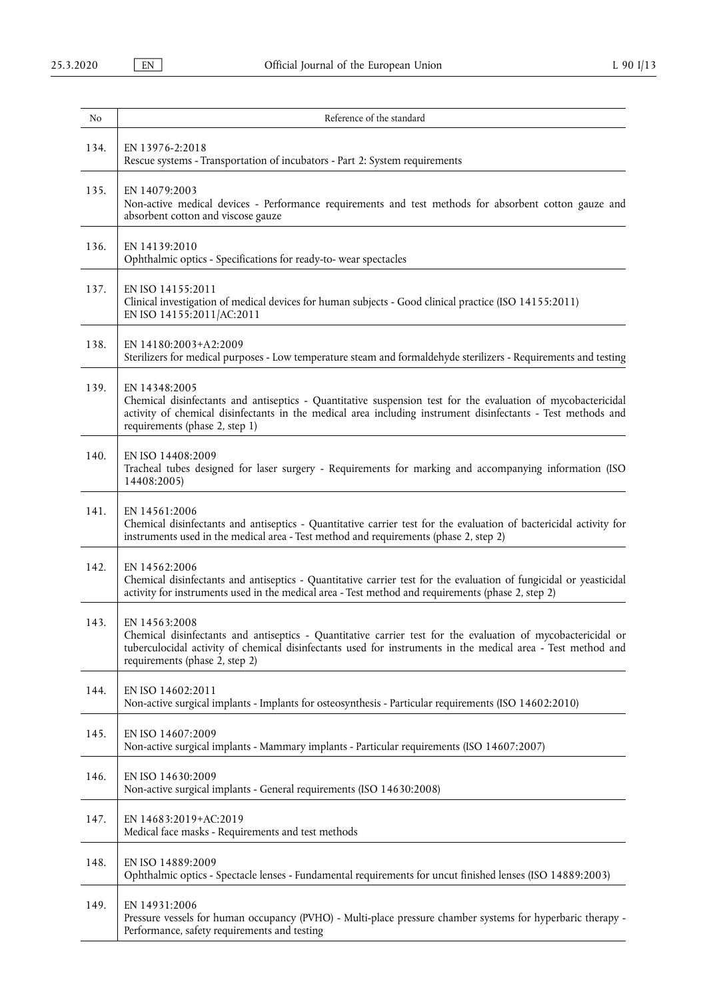| No   | Reference of the standard                                                                                                                                                                                                                                                       |
|------|---------------------------------------------------------------------------------------------------------------------------------------------------------------------------------------------------------------------------------------------------------------------------------|
| 134. | EN 13976-2:2018<br>Rescue systems - Transportation of incubators - Part 2: System requirements                                                                                                                                                                                  |
| 135. | EN 14079:2003<br>Non-active medical devices - Performance requirements and test methods for absorbent cotton gauze and<br>absorbent cotton and viscose gauze                                                                                                                    |
| 136. | EN 14139:2010<br>Ophthalmic optics - Specifications for ready-to- wear spectacles                                                                                                                                                                                               |
| 137. | EN ISO 14155:2011<br>Clinical investigation of medical devices for human subjects - Good clinical practice (ISO 14155:2011)<br>EN ISO 14155:2011/AC:2011                                                                                                                        |
| 138. | EN 14180:2003+A2:2009<br>Sterilizers for medical purposes - Low temperature steam and formaldehyde sterilizers - Requirements and testing                                                                                                                                       |
| 139. | EN 14348:2005<br>Chemical disinfectants and antiseptics - Quantitative suspension test for the evaluation of mycobactericidal<br>activity of chemical disinfectants in the medical area including instrument disinfectants - Test methods and<br>requirements (phase 2, step 1) |
| 140. | EN ISO 14408:2009<br>Tracheal tubes designed for laser surgery - Requirements for marking and accompanying information (ISO<br>14408:2005)                                                                                                                                      |
| 141. | EN 14561:2006<br>Chemical disinfectants and antiseptics - Quantitative carrier test for the evaluation of bactericidal activity for<br>instruments used in the medical area - Test method and requirements (phase 2, step 2)                                                    |
| 142. | EN 14562:2006<br>Chemical disinfectants and antiseptics - Quantitative carrier test for the evaluation of fungicidal or yeasticidal<br>activity for instruments used in the medical area - Test method and requirements (phase 2, step 2)                                       |
| 143. | EN 14563:2008<br>Chemical disinfectants and antiseptics - Quantitative carrier test for the evaluation of mycobactericidal or<br>tuberculocidal activity of chemical disinfectants used for instruments in the medical area - Test method and<br>requirements (phase 2, step 2) |
| 144. | EN ISO 14602:2011<br>Non-active surgical implants - Implants for osteosynthesis - Particular requirements (ISO 14602:2010)                                                                                                                                                      |
| 145. | EN ISO 14607:2009<br>Non-active surgical implants - Mammary implants - Particular requirements (ISO 14607:2007)                                                                                                                                                                 |
| 146. | EN ISO 14630:2009<br>Non-active surgical implants - General requirements (ISO 14630:2008)                                                                                                                                                                                       |
| 147. | EN 14683:2019+AC:2019<br>Medical face masks - Requirements and test methods                                                                                                                                                                                                     |
| 148. | EN ISO 14889:2009<br>Ophthalmic optics - Spectacle lenses - Fundamental requirements for uncut finished lenses (ISO 14889:2003)                                                                                                                                                 |
| 149. | EN 14931:2006<br>Pressure vessels for human occupancy (PVHO) - Multi-place pressure chamber systems for hyperbaric therapy -<br>Performance, safety requirements and testing                                                                                                    |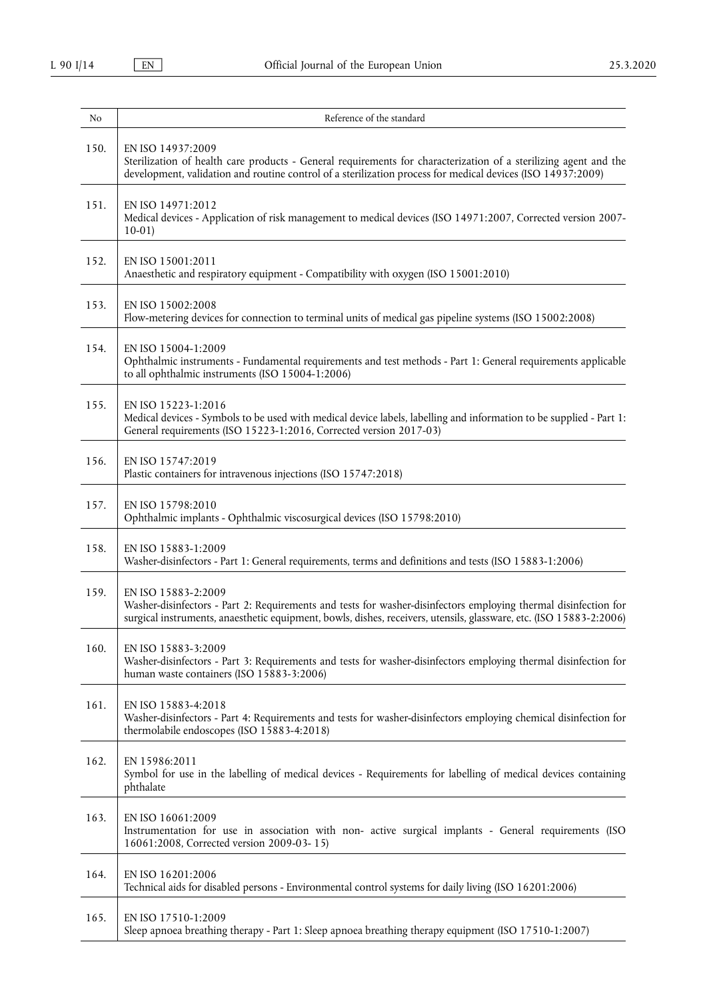| No   | Reference of the standard                                                                                                                                                                                                                                     |
|------|---------------------------------------------------------------------------------------------------------------------------------------------------------------------------------------------------------------------------------------------------------------|
| 150. | EN ISO 14937:2009<br>Sterilization of health care products - General requirements for characterization of a sterilizing agent and the<br>development, validation and routine control of a sterilization process for medical devices (ISO 14937:2009)          |
| 151. | EN ISO 14971:2012<br>Medical devices - Application of risk management to medical devices (ISO 14971:2007, Corrected version 2007-<br>$10-01$                                                                                                                  |
| 152. | EN ISO 15001:2011<br>Anaesthetic and respiratory equipment - Compatibility with oxygen (ISO 15001:2010)                                                                                                                                                       |
| 153. | EN ISO 15002:2008<br>Flow-metering devices for connection to terminal units of medical gas pipeline systems (ISO 15002:2008)                                                                                                                                  |
| 154. | EN ISO 15004-1:2009<br>Ophthalmic instruments - Fundamental requirements and test methods - Part 1: General requirements applicable<br>to all ophthalmic instruments (ISO 15004-1:2006)                                                                       |
| 155. | EN ISO 15223-1:2016<br>Medical devices - Symbols to be used with medical device labels, labelling and information to be supplied - Part 1:<br>General requirements (ISO 15223-1:2016, Corrected version 2017-03)                                              |
| 156. | EN ISO 15747:2019<br>Plastic containers for intravenous injections (ISO 15747:2018)                                                                                                                                                                           |
| 157. | EN ISO 15798:2010<br>Ophthalmic implants - Ophthalmic viscosurgical devices (ISO 15798:2010)                                                                                                                                                                  |
| 158. | EN ISO 15883-1:2009<br>Washer-disinfectors - Part 1: General requirements, terms and definitions and tests (ISO 15883-1:2006)                                                                                                                                 |
| 159. | EN ISO 15883-2:2009<br>Washer-disinfectors - Part 2: Requirements and tests for washer-disinfectors employing thermal disinfection for<br>surgical instruments, anaesthetic equipment, bowls, dishes, receivers, utensils, glassware, etc. (ISO 15883-2:2006) |
| 160. | EN ISO 15883-3:2009<br>Washer-disinfectors - Part 3: Requirements and tests for washer-disinfectors employing thermal disinfection for<br>human waste containers (ISO 15883-3:2006)                                                                           |
| 161. | EN ISO 15883-4:2018<br>Washer-disinfectors - Part 4: Requirements and tests for washer-disinfectors employing chemical disinfection for<br>thermolabile endoscopes (ISO 15883-4:2018)                                                                         |
| 162. | EN 15986:2011<br>Symbol for use in the labelling of medical devices - Requirements for labelling of medical devices containing<br>phthalate                                                                                                                   |
| 163. | EN ISO 16061:2009<br>Instrumentation for use in association with non- active surgical implants - General requirements (ISO<br>16061:2008, Corrected version 2009-03-15)                                                                                       |
| 164. | EN ISO 16201:2006<br>Technical aids for disabled persons - Environmental control systems for daily living (ISO 16201:2006)                                                                                                                                    |
| 165. | EN ISO 17510-1:2009<br>Sleep apnoea breathing therapy - Part 1: Sleep apnoea breathing therapy equipment (ISO 17510-1:2007)                                                                                                                                   |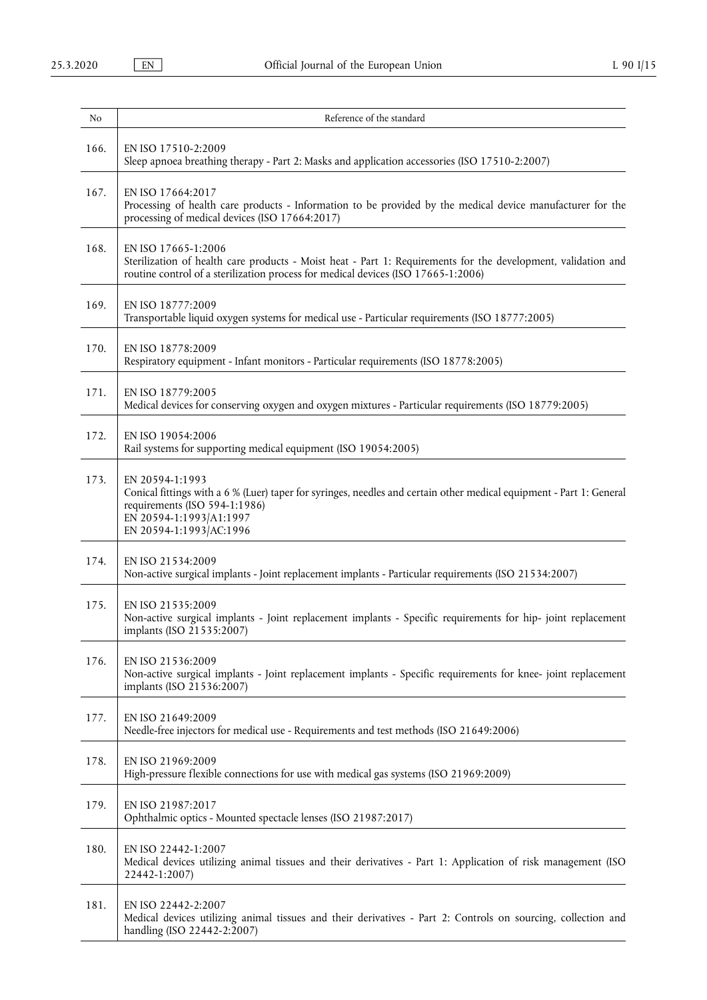| No   | Reference of the standard                                                                                                                                                                                                      |
|------|--------------------------------------------------------------------------------------------------------------------------------------------------------------------------------------------------------------------------------|
| 166. | EN ISO 17510-2:2009<br>Sleep apnoea breathing therapy - Part 2: Masks and application accessories (ISO 17510-2:2007)                                                                                                           |
| 167. | EN ISO 17664:2017<br>Processing of health care products - Information to be provided by the medical device manufacturer for the<br>processing of medical devices (ISO 17664:2017)                                              |
| 168. | EN ISO 17665-1:2006<br>Sterilization of health care products - Moist heat - Part 1: Requirements for the development, validation and<br>routine control of a sterilization process for medical devices (ISO 17665-1:2006)      |
| 169. | EN ISO 18777:2009<br>Transportable liquid oxygen systems for medical use - Particular requirements (ISO 18777:2005)                                                                                                            |
| 170. | EN ISO 18778:2009<br>Respiratory equipment - Infant monitors - Particular requirements (ISO 18778:2005)                                                                                                                        |
| 171. | EN ISO 18779:2005<br>Medical devices for conserving oxygen and oxygen mixtures - Particular requirements (ISO 18779:2005)                                                                                                      |
| 172. | EN ISO 19054:2006<br>Rail systems for supporting medical equipment (ISO 19054:2005)                                                                                                                                            |
| 173. | EN 20594-1:1993<br>Conical fittings with a 6 % (Luer) taper for syringes, needles and certain other medical equipment - Part 1: General<br>requirements (ISO 594-1:1986)<br>EN 20594-1:1993/A1:1997<br>EN 20594-1:1993/AC:1996 |
| 174. | EN ISO 21534:2009<br>Non-active surgical implants - Joint replacement implants - Particular requirements (ISO 21534:2007)                                                                                                      |
| 175. | EN ISO 21535:2009<br>Non-active surgical implants - Joint replacement implants - Specific requirements for hip- joint replacement<br>implants (ISO 21535:2007)                                                                 |
| 176. | EN ISO 21536:2009<br>Non-active surgical implants - Joint replacement implants - Specific requirements for knee- joint replacement<br>implants (ISO 21536:2007)                                                                |
| 177. | EN ISO 21649:2009<br>Needle-free injectors for medical use - Requirements and test methods (ISO 21649:2006)                                                                                                                    |
| 178. | EN ISO 21969:2009<br>High-pressure flexible connections for use with medical gas systems (ISO 21969:2009)                                                                                                                      |
| 179. | EN ISO 21987:2017<br>Ophthalmic optics - Mounted spectacle lenses (ISO 21987:2017)                                                                                                                                             |
| 180. | EN ISO 22442-1:2007<br>Medical devices utilizing animal tissues and their derivatives - Part 1: Application of risk management (ISO<br>22442-1:2007)                                                                           |
| 181. | EN ISO 22442-2:2007<br>Medical devices utilizing animal tissues and their derivatives - Part 2: Controls on sourcing, collection and<br>handling (ISO 22442-2:2007)                                                            |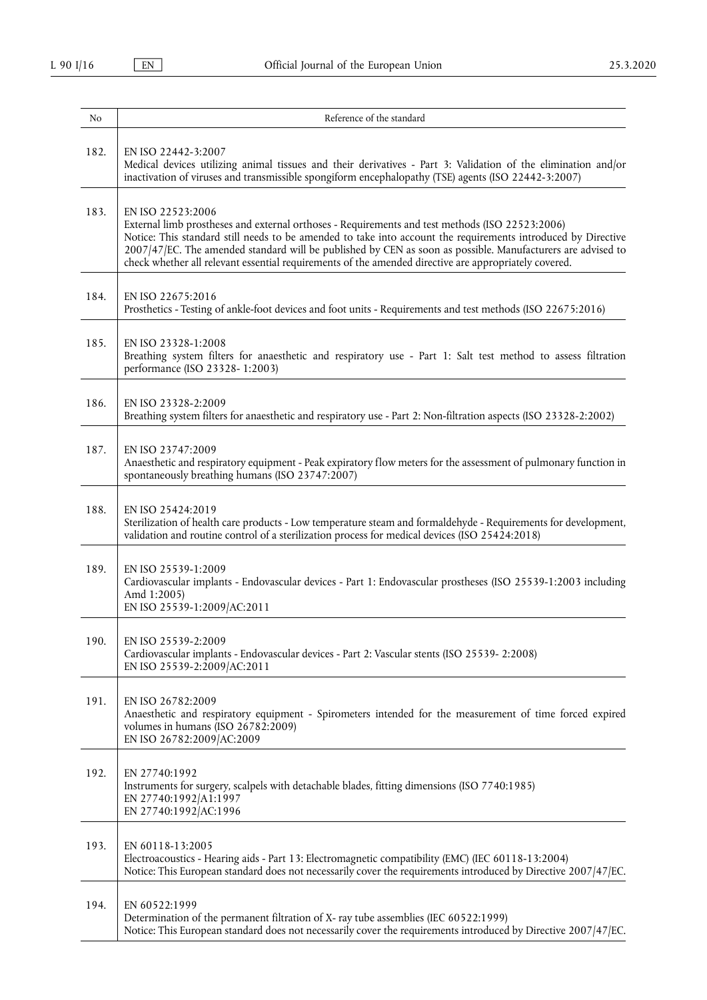| No   | Reference of the standard                                                                                                                                                                                                                                                                                                                                                                                                                                     |
|------|---------------------------------------------------------------------------------------------------------------------------------------------------------------------------------------------------------------------------------------------------------------------------------------------------------------------------------------------------------------------------------------------------------------------------------------------------------------|
| 182. | EN ISO 22442-3:2007<br>Medical devices utilizing animal tissues and their derivatives - Part 3: Validation of the elimination and/or<br>inactivation of viruses and transmissible spongiform encephalopathy (TSE) agents (ISO 22442-3:2007)                                                                                                                                                                                                                   |
| 183. | EN ISO 22523:2006<br>External limb prostheses and external orthoses - Requirements and test methods (ISO 22523:2006)<br>Notice: This standard still needs to be amended to take into account the requirements introduced by Directive<br>2007/47/EC. The amended standard will be published by CEN as soon as possible. Manufacturers are advised to<br>check whether all relevant essential requirements of the amended directive are appropriately covered. |
| 184. | EN ISO 22675:2016<br>Prosthetics - Testing of ankle-foot devices and foot units - Requirements and test methods (ISO 22675:2016)                                                                                                                                                                                                                                                                                                                              |
| 185. | EN ISO 23328-1:2008<br>Breathing system filters for anaesthetic and respiratory use - Part 1: Salt test method to assess filtration<br>performance (ISO 23328-1:2003)                                                                                                                                                                                                                                                                                         |
| 186. | EN ISO 23328-2:2009<br>Breathing system filters for anaesthetic and respiratory use - Part 2: Non-filtration aspects (ISO 23328-2:2002)                                                                                                                                                                                                                                                                                                                       |
| 187. | EN ISO 23747:2009<br>Anaesthetic and respiratory equipment - Peak expiratory flow meters for the assessment of pulmonary function in<br>spontaneously breathing humans (ISO 23747:2007)                                                                                                                                                                                                                                                                       |
| 188. | EN ISO 25424:2019<br>Sterilization of health care products - Low temperature steam and formaldehyde - Requirements for development,<br>validation and routine control of a sterilization process for medical devices (ISO 25424:2018)                                                                                                                                                                                                                         |
| 189. | EN ISO 25539-1:2009<br>Cardiovascular implants - Endovascular devices - Part 1: Endovascular prostheses (ISO 25539-1:2003 including<br>Amd 1:2005)<br>EN ISO 25539-1:2009/AC:2011                                                                                                                                                                                                                                                                             |
| 190. | EN ISO 25539-2:2009<br>Cardiovascular implants - Endovascular devices - Part 2: Vascular stents (ISO 25539-2:2008)<br>EN ISO 25539-2:2009/AC:2011                                                                                                                                                                                                                                                                                                             |
| 191. | EN ISO 26782:2009<br>Anaesthetic and respiratory equipment - Spirometers intended for the measurement of time forced expired<br>volumes in humans $(ISO 26782:2009)$<br>EN ISO 26782:2009/AC:2009                                                                                                                                                                                                                                                             |
| 192. | EN 27740:1992<br>Instruments for surgery, scalpels with detachable blades, fitting dimensions (ISO 7740:1985)<br>EN 27740:1992/A1:1997<br>EN 27740:1992/AC:1996                                                                                                                                                                                                                                                                                               |
| 193. | EN 60118-13:2005<br>Electroacoustics - Hearing aids - Part 13: Electromagnetic compatibility (EMC) (IEC 60118-13:2004)<br>Notice: This European standard does not necessarily cover the requirements introduced by Directive 2007/47/EC.                                                                                                                                                                                                                      |
| 194. | EN 60522:1999<br>Determination of the permanent filtration of X- ray tube assemblies (IEC 60522:1999)<br>Notice: This European standard does not necessarily cover the requirements introduced by Directive 2007/47/EC.                                                                                                                                                                                                                                       |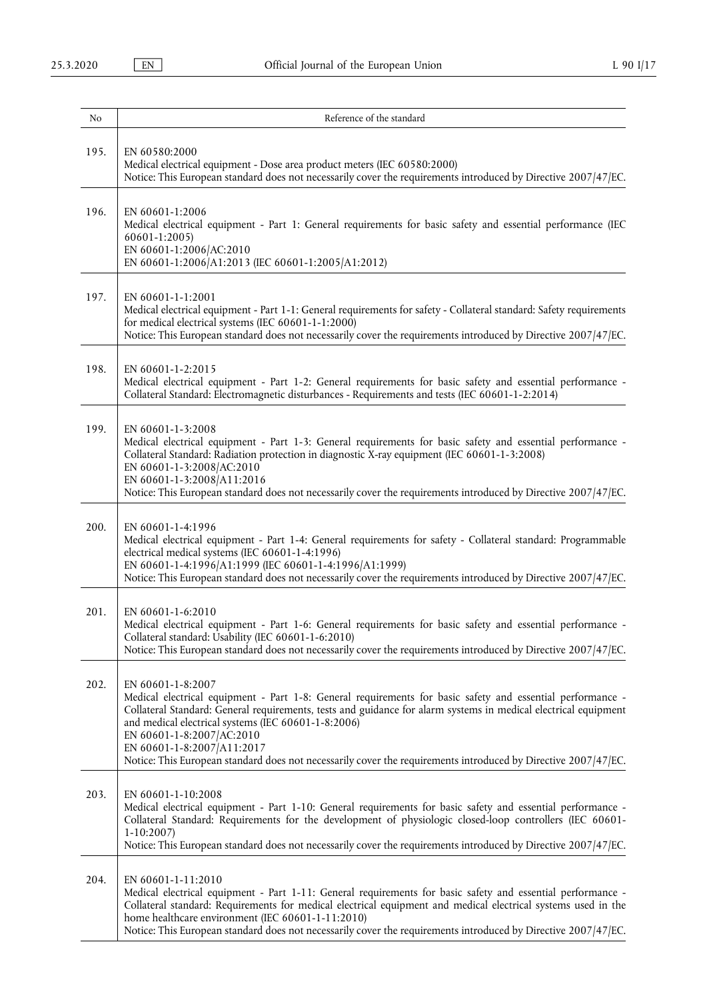| No   | Reference of the standard                                                                                                                                                                                                                                                                                                                                                                                                                                                              |
|------|----------------------------------------------------------------------------------------------------------------------------------------------------------------------------------------------------------------------------------------------------------------------------------------------------------------------------------------------------------------------------------------------------------------------------------------------------------------------------------------|
| 195. | EN 60580:2000<br>Medical electrical equipment - Dose area product meters (IEC 60580:2000)<br>Notice: This European standard does not necessarily cover the requirements introduced by Directive 2007/47/EC.                                                                                                                                                                                                                                                                            |
| 196. | EN 60601-1:2006<br>Medical electrical equipment - Part 1: General requirements for basic safety and essential performance (IEC<br>60601-1:2005)<br>EN 60601-1:2006/AC:2010<br>EN 60601-1:2006/A1:2013 (IEC 60601-1:2005/A1:2012)                                                                                                                                                                                                                                                       |
| 197. | EN 60601-1-1:2001<br>Medical electrical equipment - Part 1-1: General requirements for safety - Collateral standard: Safety requirements<br>for medical electrical systems (IEC 60601-1-1:2000)<br>Notice: This European standard does not necessarily cover the requirements introduced by Directive 2007/47/EC.                                                                                                                                                                      |
| 198. | EN 60601-1-2:2015<br>Medical electrical equipment - Part 1-2: General requirements for basic safety and essential performance -<br>Collateral Standard: Electromagnetic disturbances - Requirements and tests (IEC 60601-1-2:2014)                                                                                                                                                                                                                                                     |
| 199. | EN 60601-1-3:2008<br>Medical electrical equipment - Part 1-3: General requirements for basic safety and essential performance -<br>Collateral Standard: Radiation protection in diagnostic X-ray equipment (IEC 60601-1-3:2008)<br>EN 60601-1-3:2008/AC:2010<br>EN 60601-1-3:2008/A11:2016<br>Notice: This European standard does not necessarily cover the requirements introduced by Directive 2007/47/EC.                                                                           |
| 200. | EN 60601-1-4:1996<br>Medical electrical equipment - Part 1-4: General requirements for safety - Collateral standard: Programmable<br>electrical medical systems (IEC 60601-1-4:1996)<br>EN 60601-1-4:1996/A1:1999 (IEC 60601-1-4:1996/A1:1999)<br>Notice: This European standard does not necessarily cover the requirements introduced by Directive 2007/47/EC.                                                                                                                       |
| 201. | EN 60601-1-6:2010<br>Medical electrical equipment - Part 1-6: General requirements for basic safety and essential performance -<br>Collateral standard: Usability (IEC 60601-1-6:2010)<br>Notice: This European standard does not necessarily cover the requirements introduced by Directive 2007/47/EC.                                                                                                                                                                               |
| 202. | EN 60601-1-8:2007<br>Medical electrical equipment - Part 1-8: General requirements for basic safety and essential performance -<br>Collateral Standard: General requirements, tests and guidance for alarm systems in medical electrical equipment<br>and medical electrical systems (IEC 60601-1-8:2006)<br>EN 60601-1-8:2007/AC:2010<br>EN 60601-1-8:2007/A11:2017<br>Notice: This European standard does not necessarily cover the requirements introduced by Directive 2007/47/EC. |
| 203. | EN 60601-1-10:2008<br>Medical electrical equipment - Part 1-10: General requirements for basic safety and essential performance -<br>Collateral Standard: Requirements for the development of physiologic closed-loop controllers (IEC 60601-<br>$1-10:2007$<br>Notice: This European standard does not necessarily cover the requirements introduced by Directive 2007/47/EC.                                                                                                         |
| 204. | EN 60601-1-11:2010<br>Medical electrical equipment - Part 1-11: General requirements for basic safety and essential performance -<br>Collateral standard: Requirements for medical electrical equipment and medical electrical systems used in the<br>home healthcare environment (IEC 60601-1-11:2010)<br>Notice: This European standard does not necessarily cover the requirements introduced by Directive 2007/47/EC.                                                              |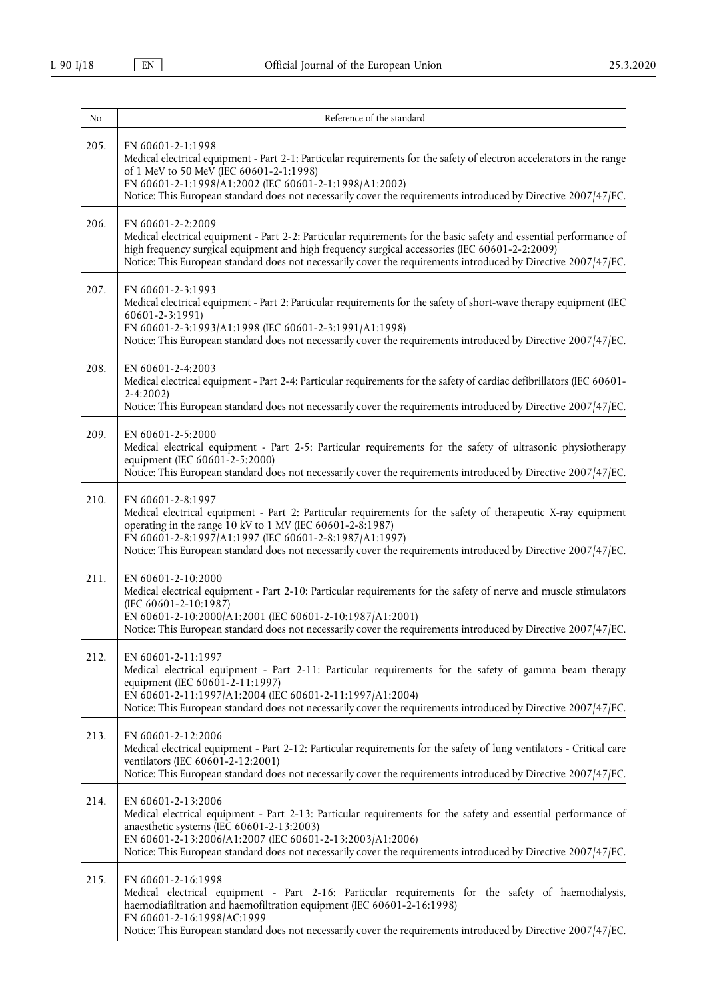| No   | Reference of the standard                                                                                                                                                                                                                                                                                                                                                  |
|------|----------------------------------------------------------------------------------------------------------------------------------------------------------------------------------------------------------------------------------------------------------------------------------------------------------------------------------------------------------------------------|
| 205. | EN 60601-2-1:1998<br>Medical electrical equipment - Part 2-1: Particular requirements for the safety of electron accelerators in the range<br>of 1 MeV to 50 MeV (IEC 60601-2-1:1998)<br>EN 60601-2-1:1998/A1:2002 (IEC 60601-2-1:1998/A1:2002)<br>Notice: This European standard does not necessarily cover the requirements introduced by Directive 2007/47/EC.          |
| 206. | EN 60601-2-2:2009<br>Medical electrical equipment - Part 2-2: Particular requirements for the basic safety and essential performance of<br>high frequency surgical equipment and high frequency surgical accessories (IEC 60601-2-2:2009)<br>Notice: This European standard does not necessarily cover the requirements introduced by Directive 2007/47/EC.                |
| 207. | EN 60601-2-3:1993<br>Medical electrical equipment - Part 2: Particular requirements for the safety of short-wave therapy equipment (IEC<br>60601-2-3:1991)<br>EN 60601-2-3:1993/A1:1998 (IEC 60601-2-3:1991/A1:1998)<br>Notice: This European standard does not necessarily cover the requirements introduced by Directive 2007/47/EC.                                     |
| 208. | EN 60601-2-4:2003<br>Medical electrical equipment - Part 2-4: Particular requirements for the safety of cardiac defibrillators (IEC 60601-<br>$2 - 4:2002$<br>Notice: This European standard does not necessarily cover the requirements introduced by Directive 2007/47/EC.                                                                                               |
| 209. | EN 60601-2-5:2000<br>Medical electrical equipment - Part 2-5: Particular requirements for the safety of ultrasonic physiotherapy<br>equipment (IEC 60601-2-5:2000)<br>Notice: This European standard does not necessarily cover the requirements introduced by Directive 2007/47/EC.                                                                                       |
| 210. | EN 60601-2-8:1997<br>Medical electrical equipment - Part 2: Particular requirements for the safety of therapeutic X-ray equipment<br>operating in the range 10 kV to 1 MV (IEC 60601-2-8:1987)<br>EN 60601-2-8:1997/A1:1997 (IEC 60601-2-8:1987/A1:1997)<br>Notice: This European standard does not necessarily cover the requirements introduced by Directive 2007/47/EC. |
| 211. | EN 60601-2-10:2000<br>Medical electrical equipment - Part 2-10: Particular requirements for the safety of nerve and muscle stimulators<br>(IEC 60601-2-10:1987)<br>EN 60601-2-10:2000/A1:2001 (IEC 60601-2-10:1987/A1:2001)<br>Notice: This European standard does not necessarily cover the requirements introduced by Directive 2007/47/EC.                              |
| 212. | EN 60601-2-11:1997<br>Medical electrical equipment - Part 2-11: Particular requirements for the safety of gamma beam therapy<br>equipment (IEC 60601-2-11:1997)<br>EN 60601-2-11:1997/A1:2004 (IEC 60601-2-11:1997/A1:2004)<br>Notice: This European standard does not necessarily cover the requirements introduced by Directive 2007/47/EC.                              |
| 213. | EN 60601-2-12:2006<br>Medical electrical equipment - Part 2-12: Particular requirements for the safety of lung ventilators - Critical care<br>ventilators (IEC 60601-2-12:2001)<br>Notice: This European standard does not necessarily cover the requirements introduced by Directive 2007/47/EC.                                                                          |
| 214. | EN 60601-2-13:2006<br>Medical electrical equipment - Part 2-13: Particular requirements for the safety and essential performance of<br>anaesthetic systems (IEC 60601-2-13:2003)<br>EN 60601-2-13:2006/A1:2007 (IEC 60601-2-13:2003/A1:2006)<br>Notice: This European standard does not necessarily cover the requirements introduced by Directive 2007/47/EC.             |
| 215. | EN 60601-2-16:1998<br>Medical electrical equipment - Part 2-16: Particular requirements for the safety of haemodialysis,<br>haemodiafiltration and haemofiltration equipment (IEC 60601-2-16:1998)<br>EN 60601-2-16:1998/AC:1999<br>Notice: This European standard does not necessarily cover the requirements introduced by Directive 2007/47/EC.                         |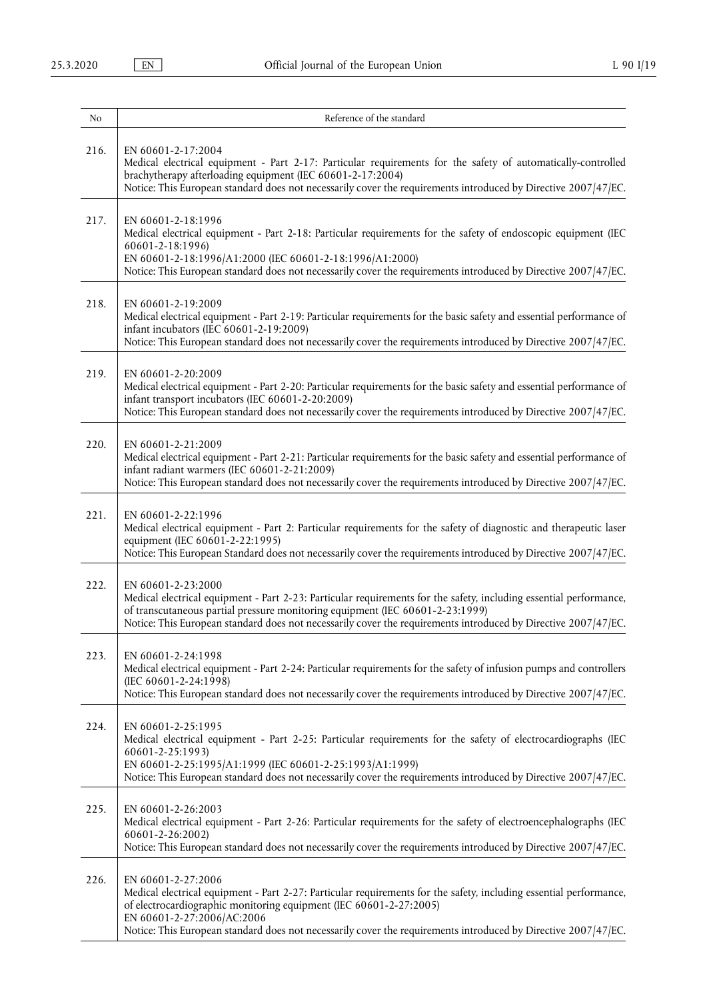| No   | Reference of the standard                                                                                                                                                                                                                                                                                                                                      |
|------|----------------------------------------------------------------------------------------------------------------------------------------------------------------------------------------------------------------------------------------------------------------------------------------------------------------------------------------------------------------|
| 216. | EN 60601-2-17:2004<br>Medical electrical equipment - Part 2-17: Particular requirements for the safety of automatically-controlled<br>brachytherapy afterloading equipment (IEC 60601-2-17:2004)<br>Notice: This European standard does not necessarily cover the requirements introduced by Directive 2007/47/EC.                                             |
| 217. | EN 60601-2-18:1996<br>Medical electrical equipment - Part 2-18: Particular requirements for the safety of endoscopic equipment (IEC<br>60601-2-18:1996)<br>EN 60601-2-18:1996/A1:2000 (IEC 60601-2-18:1996/A1:2000)<br>Notice: This European standard does not necessarily cover the requirements introduced by Directive 2007/47/EC.                          |
| 218. | EN 60601-2-19:2009<br>Medical electrical equipment - Part 2-19: Particular requirements for the basic safety and essential performance of<br>infant incubators (IEC 60601-2-19:2009)<br>Notice: This European standard does not necessarily cover the requirements introduced by Directive 2007/47/EC.                                                         |
| 219. | EN 60601-2-20:2009<br>Medical electrical equipment - Part 2-20: Particular requirements for the basic safety and essential performance of<br>infant transport incubators (IEC 60601-2-20:2009)<br>Notice: This European standard does not necessarily cover the requirements introduced by Directive 2007/47/EC.                                               |
| 220. | EN 60601-2-21:2009<br>Medical electrical equipment - Part 2-21: Particular requirements for the basic safety and essential performance of<br>infant radiant warmers (IEC 60601-2-21:2009)<br>Notice: This European standard does not necessarily cover the requirements introduced by Directive 2007/47/EC.                                                    |
| 221. | EN 60601-2-22:1996<br>Medical electrical equipment - Part 2: Particular requirements for the safety of diagnostic and therapeutic laser<br>equipment (IEC 60601-2-22:1995)<br>Notice: This European Standard does not necessarily cover the requirements introduced by Directive 2007/47/EC.                                                                   |
| 222. | EN 60601-2-23:2000<br>Medical electrical equipment - Part 2-23: Particular requirements for the safety, including essential performance,<br>of transcutaneous partial pressure monitoring equipment (IEC 60601-2-23:1999)<br>Notice: This European standard does not necessarily cover the requirements introduced by Directive 2007/47/EC.                    |
| 223. | EN 60601-2-24:1998<br>Medical electrical equipment - Part 2-24: Particular requirements for the safety of infusion pumps and controllers<br>(IEC 60601-2-24:1998)<br>Notice: This European standard does not necessarily cover the requirements introduced by Directive 2007/47/EC.                                                                            |
| 224. | EN 60601-2-25:1995<br>Medical electrical equipment - Part 2-25: Particular requirements for the safety of electrocardiographs (IEC<br>60601-2-25:1993)<br>EN 60601-2-25:1995/A1:1999 (IEC 60601-2-25:1993/A1:1999)<br>Notice: This European standard does not necessarily cover the requirements introduced by Directive 2007/47/EC.                           |
| 225. | EN 60601-2-26:2003<br>Medical electrical equipment - Part 2-26: Particular requirements for the safety of electroencephalographs (IEC<br>60601-2-26:2002)<br>Notice: This European standard does not necessarily cover the requirements introduced by Directive 2007/47/EC.                                                                                    |
| 226. | EN 60601-2-27:2006<br>Medical electrical equipment - Part 2-27: Particular requirements for the safety, including essential performance,<br>of electrocardiographic monitoring equipment (IEC 60601-2-27:2005)<br>EN 60601-2-27:2006/AC:2006<br>Notice: This European standard does not necessarily cover the requirements introduced by Directive 2007/47/EC. |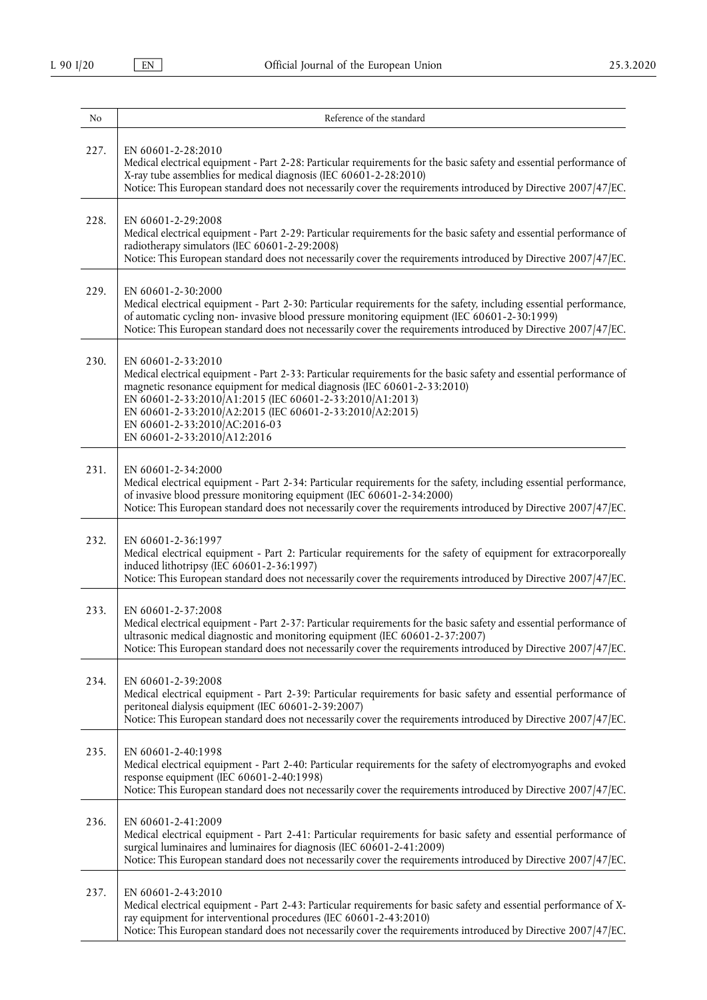| No   | Reference of the standard                                                                                                                                                                                                                                                                                                                                                                                     |
|------|---------------------------------------------------------------------------------------------------------------------------------------------------------------------------------------------------------------------------------------------------------------------------------------------------------------------------------------------------------------------------------------------------------------|
| 227. | EN 60601-2-28:2010<br>Medical electrical equipment - Part 2-28: Particular requirements for the basic safety and essential performance of<br>X-ray tube assemblies for medical diagnosis (IEC 60601-2-28:2010)<br>Notice: This European standard does not necessarily cover the requirements introduced by Directive 2007/47/EC.                                                                              |
| 228. | EN 60601-2-29:2008<br>Medical electrical equipment - Part 2-29: Particular requirements for the basic safety and essential performance of<br>radiotherapy simulators (IEC 60601-2-29:2008)<br>Notice: This European standard does not necessarily cover the requirements introduced by Directive 2007/47/EC.                                                                                                  |
| 229. | EN 60601-2-30:2000<br>Medical electrical equipment - Part 2-30: Particular requirements for the safety, including essential performance,<br>of automatic cycling non- invasive blood pressure monitoring equipment (IEC 60601-2-30:1999)<br>Notice: This European standard does not necessarily cover the requirements introduced by Directive 2007/47/EC.                                                    |
| 230. | EN 60601-2-33:2010<br>Medical electrical equipment - Part 2-33: Particular requirements for the basic safety and essential performance of<br>magnetic resonance equipment for medical diagnosis (IEC 60601-2-33:2010)<br>EN 60601-2-33:2010/A1:2015 (IEC 60601-2-33:2010/A1:2013)<br>EN 60601-2-33:2010/A2:2015 (IEC 60601-2-33:2010/A2:2015)<br>EN 60601-2-33:2010/AC:2016-03<br>EN 60601-2-33:2010/A12:2016 |
| 231. | EN 60601-2-34:2000<br>Medical electrical equipment - Part 2-34: Particular requirements for the safety, including essential performance,<br>of invasive blood pressure monitoring equipment (IEC 60601-2-34:2000)<br>Notice: This European standard does not necessarily cover the requirements introduced by Directive 2007/47/EC.                                                                           |
| 232. | EN 60601-2-36:1997<br>Medical electrical equipment - Part 2: Particular requirements for the safety of equipment for extracorporeally<br>induced lithotripsy (IEC 60601-2-36:1997)<br>Notice: This European standard does not necessarily cover the requirements introduced by Directive 2007/47/EC.                                                                                                          |
| 233. | EN 60601-2-37:2008<br>Medical electrical equipment - Part 2-37: Particular requirements for the basic safety and essential performance of<br>ultrasonic medical diagnostic and monitoring equipment (IEC 60601-2-37:2007)<br>Notice: This European standard does not necessarily cover the requirements introduced by Directive 2007/47/EC.                                                                   |
| 234. | EN 60601-2-39:2008<br>Medical electrical equipment - Part 2-39: Particular requirements for basic safety and essential performance of<br>peritoneal dialysis equipment (IEC 60601-2-39:2007)<br>Notice: This European standard does not necessarily cover the requirements introduced by Directive 2007/47/EC.                                                                                                |
| 235. | EN 60601-2-40:1998<br>Medical electrical equipment - Part 2-40: Particular requirements for the safety of electromyographs and evoked<br>response equipment (IEC 60601-2-40:1998)<br>Notice: This European standard does not necessarily cover the requirements introduced by Directive 2007/47/EC.                                                                                                           |
| 236. | EN 60601-2-41:2009<br>Medical electrical equipment - Part 2-41: Particular requirements for basic safety and essential performance of<br>surgical luminaires and luminaires for diagnosis (IEC 60601-2-41:2009)<br>Notice: This European standard does not necessarily cover the requirements introduced by Directive 2007/47/EC.                                                                             |
| 237. | EN 60601-2-43:2010<br>Medical electrical equipment - Part 2-43: Particular requirements for basic safety and essential performance of X-<br>ray equipment for interventional procedures (IEC 60601-2-43:2010)<br>Notice: This European standard does not necessarily cover the requirements introduced by Directive 2007/47/EC.                                                                               |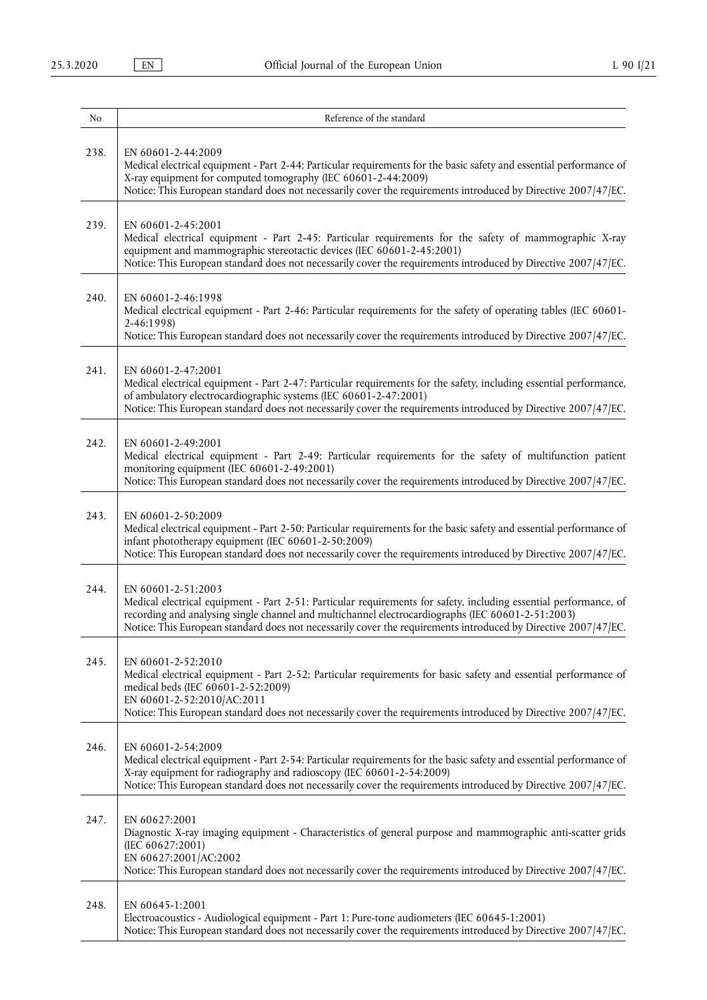| N <sub>0</sub> | Reference of the standard                                                                                                                                                                                                                                                                                                                                      |
|----------------|----------------------------------------------------------------------------------------------------------------------------------------------------------------------------------------------------------------------------------------------------------------------------------------------------------------------------------------------------------------|
| 238.           | EN 60601-2-44:2009<br>Medical electrical equipment - Part 2-44: Particular requirements for the basic safety and essential performance of<br>X-ray equipment for computed tomography (IEC 60601-2-44:2009)<br>Notice: This European standard does not necessarily cover the requirements introduced by Directive 2007/47/EC.                                   |
| 239.           | EN 60601-2-45:2001<br>Medical electrical equipment - Part 2-45: Particular requirements for the safety of mammographic X-ray<br>equipment and mammographic stereotactic devices (IEC 60601-2-45:2001)<br>Notice: This European standard does not necessarily cover the requirements introduced by Directive 2007/47/EC.                                        |
| 240.           | EN 60601-2-46:1998<br>Medical electrical equipment - Part 2-46: Particular requirements for the safety of operating tables (IEC 60601-<br>2-46:1998)<br>Notice: This European standard does not necessarily cover the requirements introduced by Directive 2007/47/EC.                                                                                         |
| 241.           | EN 60601-2-47:2001<br>Medical electrical equipment - Part 2-47: Particular requirements for the safety, including essential performance,<br>of ambulatory electrocardiographic systems (IEC 60601-2-47:2001)<br>Notice: This European standard does not necessarily cover the requirements introduced by Directive 2007/47/EC.                                 |
| 242.           | EN 60601-2-49:2001<br>Medical electrical equipment - Part 2-49: Particular requirements for the safety of multifunction patient<br>monitoring equipment (IEC 60601-2-49:2001)<br>Notice: This European standard does not necessarily cover the requirements introduced by Directive 2007/47/EC.                                                                |
| 243.           | EN 60601-2-50:2009<br>Medical electrical equipment - Part 2-50: Particular requirements for the basic safety and essential performance of<br>infant phototherapy equipment (IEC 60601-2-50:2009)<br>Notice: This European standard does not necessarily cover the requirements introduced by Directive 2007/47/EC.                                             |
| 244.           | EN 60601-2-51:2003<br>Medical electrical equipment - Part 2-51: Particular requirements for safety, including essential performance, of<br>recording and analysing single channel and multichannel electrocardiographs (IEC 60601-2-51:2003)<br>Notice: This European standard does not necessarily cover the requirements introduced by Directive 2007/47/EC. |
| 245.           | EN 60601-2-52:2010<br>Medical electrical equipment - Part 2-52: Particular requirements for basic safety and essential performance of<br>medical beds (IEC 60601-2-52:2009)<br>EN 60601-2-52:2010/AC:2011<br>Notice: This European standard does not necessarily cover the requirements introduced by Directive 2007/47/EC.                                    |
| 246.           | EN 60601-2-54:2009<br>Medical electrical equipment - Part 2-54: Particular requirements for the basic safety and essential performance of<br>X-ray equipment for radiography and radioscopy (IEC 60601-2-54:2009)<br>Notice: This European standard does not necessarily cover the requirements introduced by Directive 2007/47/EC.                            |
| 247.           | EN 60627:2001<br>Diagnostic X-ray imaging equipment - Characteristics of general purpose and mammographic anti-scatter grids<br>(IEC 60627:2001)<br>EN 60627:2001/AC:2002<br>Notice: This European standard does not necessarily cover the requirements introduced by Directive 2007/47/EC.                                                                    |
| 248.           | EN 60645-1:2001<br>Electroacoustics - Audiological equipment - Part 1: Pure-tone audiometers (IEC 60645-1:2001)<br>Notice: This European standard does not necessarily cover the requirements introduced by Directive 2007/47/EC.                                                                                                                              |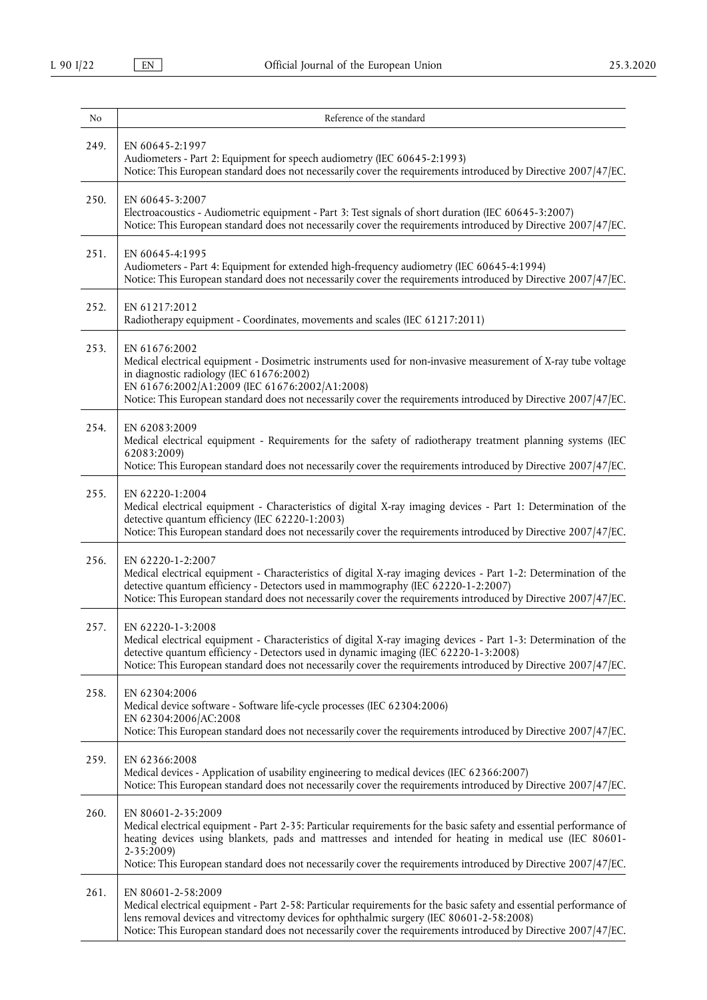| No   | Reference of the standard                                                                                                                                                                                                                                                                                                                                                            |
|------|--------------------------------------------------------------------------------------------------------------------------------------------------------------------------------------------------------------------------------------------------------------------------------------------------------------------------------------------------------------------------------------|
| 249. | EN 60645-2:1997<br>Audiometers - Part 2: Equipment for speech audiometry (IEC 60645-2:1993)<br>Notice: This European standard does not necessarily cover the requirements introduced by Directive 2007/47/EC.                                                                                                                                                                        |
| 250. | EN 60645-3:2007<br>Electroacoustics - Audiometric equipment - Part 3: Test signals of short duration (IEC 60645-3:2007)<br>Notice: This European standard does not necessarily cover the requirements introduced by Directive 2007/47/EC.                                                                                                                                            |
| 251. | EN 60645-4:1995<br>Audiometers - Part 4: Equipment for extended high-frequency audiometry (IEC 60645-4:1994)<br>Notice: This European standard does not necessarily cover the requirements introduced by Directive 2007/47/EC.                                                                                                                                                       |
| 252. | EN 61217:2012<br>Radiotherapy equipment - Coordinates, movements and scales (IEC 61217:2011)                                                                                                                                                                                                                                                                                         |
| 253. | EN 61676:2002<br>Medical electrical equipment - Dosimetric instruments used for non-invasive measurement of X-ray tube voltage<br>in diagnostic radiology (IEC 61676:2002)<br>EN 61676:2002/A1:2009 (IEC 61676:2002/A1:2008)<br>Notice: This European standard does not necessarily cover the requirements introduced by Directive 2007/47/EC.                                       |
| 254. | EN 62083:2009<br>Medical electrical equipment - Requirements for the safety of radiotherapy treatment planning systems (IEC<br>62083:2009)<br>Notice: This European standard does not necessarily cover the requirements introduced by Directive 2007/47/EC.                                                                                                                         |
| 255. | EN 62220-1:2004<br>Medical electrical equipment - Characteristics of digital X-ray imaging devices - Part 1: Determination of the<br>detective quantum efficiency (IEC 62220-1:2003)<br>Notice: This European standard does not necessarily cover the requirements introduced by Directive 2007/47/EC.                                                                               |
| 256. | EN 62220-1-2:2007<br>Medical electrical equipment - Characteristics of digital X-ray imaging devices - Part 1-2: Determination of the<br>detective quantum efficiency - Detectors used in mammography (IEC 62220-1-2:2007)<br>Notice: This European standard does not necessarily cover the requirements introduced by Directive 2007/47/EC.                                         |
| 257. | EN 62220-1-3:2008<br>Medical electrical equipment - Characteristics of digital X-ray imaging devices - Part 1-3: Determination of the<br>detective quantum efficiency - Detectors used in dynamic imaging (IEC 62220-1-3:2008)<br>Notice: This European standard does not necessarily cover the requirements introduced by Directive 2007/47/EC.                                     |
| 258. | EN 62304:2006<br>Medical device software - Software life-cycle processes (IEC 62304:2006)<br>EN 62304:2006/AC:2008<br>Notice: This European standard does not necessarily cover the requirements introduced by Directive 2007/47/EC.                                                                                                                                                 |
| 259. | EN 62366:2008<br>Medical devices - Application of usability engineering to medical devices (IEC 62366:2007)<br>Notice: This European standard does not necessarily cover the requirements introduced by Directive 2007/47/EC.                                                                                                                                                        |
| 260. | EN 80601-2-35:2009<br>Medical electrical equipment - Part 2-35: Particular requirements for the basic safety and essential performance of<br>heating devices using blankets, pads and mattresses and intended for heating in medical use (IEC 80601-<br>2-35:2009)<br>Notice: This European standard does not necessarily cover the requirements introduced by Directive 2007/47/EC. |
| 261. | EN 80601-2-58:2009<br>Medical electrical equipment - Part 2-58: Particular requirements for the basic safety and essential performance of<br>lens removal devices and vitrectomy devices for ophthalmic surgery (IEC 80601-2-58:2008)<br>Notice: This European standard does not necessarily cover the requirements introduced by Directive 2007/47/EC.                              |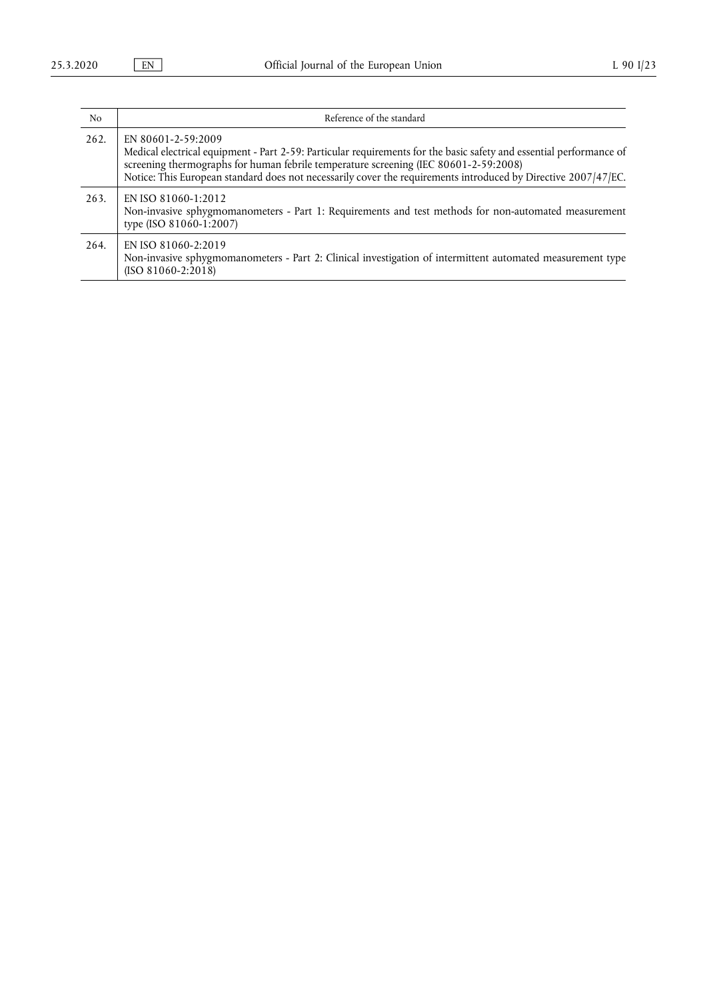| N <sub>0</sub> | Reference of the standard                                                                                                                                                                                                                                                                                                                           |
|----------------|-----------------------------------------------------------------------------------------------------------------------------------------------------------------------------------------------------------------------------------------------------------------------------------------------------------------------------------------------------|
| 262.           | EN 80601-2-59:2009<br>Medical electrical equipment - Part 2-59: Particular requirements for the basic safety and essential performance of<br>screening thermographs for human febrile temperature screening (IEC 80601-2-59:2008)<br>Notice: This European standard does not necessarily cover the requirements introduced by Directive 2007/47/EC. |
| 263.           | EN ISO 81060-1:2012<br>Non-invasive sphygmomanometers - Part 1: Requirements and test methods for non-automated measurement<br>type (ISO 81060-1:2007)                                                                                                                                                                                              |
| 264.           | EN ISO 81060-2:2019<br>Non-invasive sphygmomanometers - Part 2: Clinical investigation of intermittent automated measurement type<br>$(ISO 81060-2:2018)$                                                                                                                                                                                           |